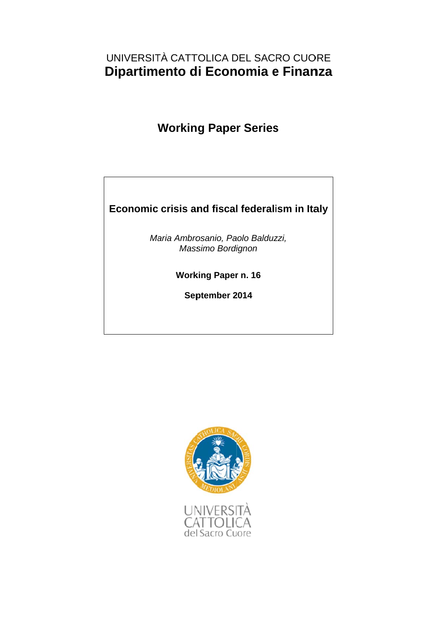### UNIVERSITÀ CATTOLICA DEL SACRO CUORE Dipartimento di Economia e Finanza

## **W Workin g Pape r Series**

# **Ec conomic crisis an nd fiscal l federali sism in Ita aly**

Maria Ambrosanio, Paolo Balduzzi, *Mass simo Bordi ignon* 

**Working Paper n. 16** 

**Sep ptember 2 2014** 

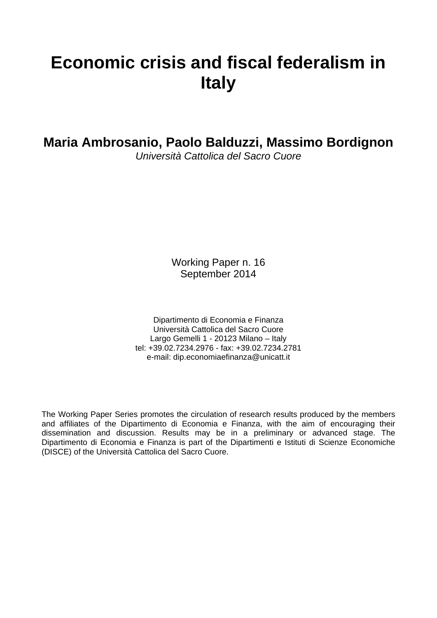# **Economic crisis and fiscal federalism in Italy**

**Maria Ambrosanio, Paolo Balduzzi, Massimo Bordignon** 

*Università Cattolica del Sacro Cuore*

Working Paper n. 16 September 2014

Dipartimento di Economia e Finanza Università Cattolica del Sacro Cuore Largo Gemelli 1 - 20123 Milano – Italy tel: +39.02.7234.2976 - fax: +39.02.7234.2781 e-mail: dip.economiaefinanza@unicatt.it

The Working Paper Series promotes the circulation of research results produced by the members and affiliates of the Dipartimento di Economia e Finanza, with the aim of encouraging their dissemination and discussion. Results may be in a preliminary or advanced stage. The Dipartimento di Economia e Finanza is part of the Dipartimenti e Istituti di Scienze Economiche (DISCE) of the Università Cattolica del Sacro Cuore.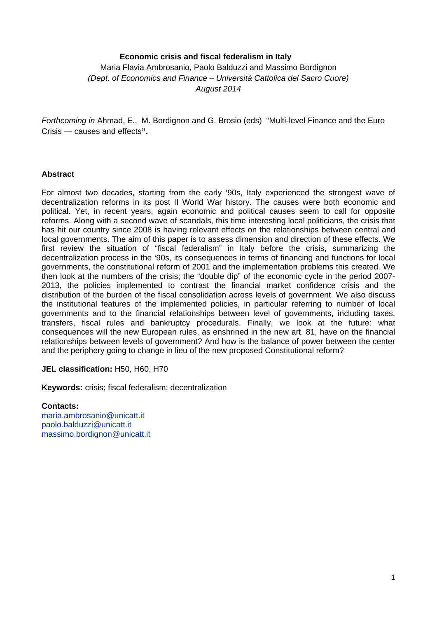#### **Economic crisis and fiscal federalism in Italy**

Maria Flavia Ambrosanio, Paolo Balduzzi and Massimo Bordignon *(Dept. of Economics and Finance – Università Cattolica del Sacro Cuore) August 2014* 

*Forthcoming in* Ahmad, E., M. Bordignon and G. Brosio (eds) "Multi-level Finance and the Euro Crisis — causes and effects**".** 

#### **Abstract**

For almost two decades, starting from the early '90s, Italy experienced the strongest wave of decentralization reforms in its post II World War history. The causes were both economic and political. Yet, in recent years, again economic and political causes seem to call for opposite reforms. Along with a second wave of scandals, this time interesting local politicians, the crisis that has hit our country since 2008 is having relevant effects on the relationships between central and local governments. The aim of this paper is to assess dimension and direction of these effects. We first review the situation of "fiscal federalism" in Italy before the crisis, summarizing the decentralization process in the '90s, its consequences in terms of financing and functions for local governments, the constitutional reform of 2001 and the implementation problems this created. We then look at the numbers of the crisis; the "double dip" of the economic cycle in the period 2007- 2013, the policies implemented to contrast the financial market confidence crisis and the distribution of the burden of the fiscal consolidation across levels of government. We also discuss the institutional features of the implemented policies, in particular referring to number of local governments and to the financial relationships between level of governments, including taxes, transfers, fiscal rules and bankruptcy procedurals. Finally, we look at the future: what consequences will the new European rules, as enshrined in the new art. 81, have on the financial relationships between levels of government? And how is the balance of power between the center and the periphery going to change in lieu of the new proposed Constitutional reform?

**JEL classification:** H50, H60, H70

**Keywords:** crisis; fiscal federalism; decentralization

#### **Contacts:**

maria.ambrosanio@unicatt.it paolo.balduzzi@unicatt.it massimo.bordignon@unicatt.it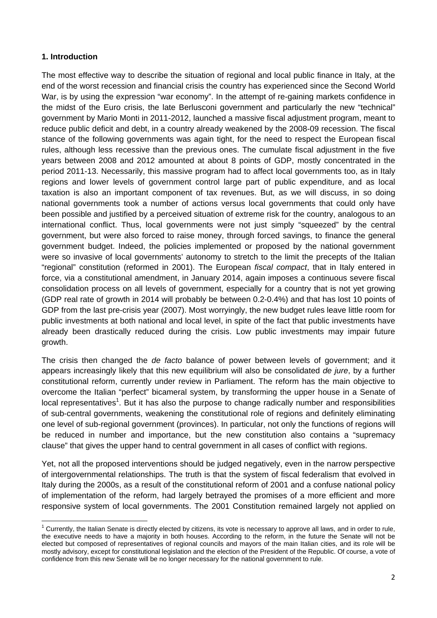#### **1. Introduction**

The most effective way to describe the situation of regional and local public finance in Italy, at the end of the worst recession and financial crisis the country has experienced since the Second World War, is by using the expression "war economy". In the attempt of re-gaining markets confidence in the midst of the Euro crisis, the late Berlusconi government and particularly the new "technical" government by Mario Monti in 2011-2012, launched a massive fiscal adjustment program, meant to reduce public deficit and debt, in a country already weakened by the 2008-09 recession. The fiscal stance of the following governments was again tight, for the need to respect the European fiscal rules, although less recessive than the previous ones. The cumulate fiscal adjustment in the five years between 2008 and 2012 amounted at about 8 points of GDP, mostly concentrated in the period 2011-13. Necessarily, this massive program had to affect local governments too, as in Italy regions and lower levels of government control large part of public expenditure, and as local taxation is also an important component of tax revenues. But, as we will discuss, in so doing national governments took a number of actions versus local governments that could only have been possible and justified by a perceived situation of extreme risk for the country, analogous to an international conflict. Thus, local governments were not just simply "squeezed" by the central government, but were also forced to raise money, through forced savings, to finance the general government budget. Indeed, the policies implemented or proposed by the national government were so invasive of local governments' autonomy to stretch to the limit the precepts of the Italian "regional" constitution (reformed in 2001). The European *fiscal compact*, that in Italy entered in force, via a constitutional amendment, in January 2014, again imposes a continuous severe fiscal consolidation process on all levels of government, especially for a country that is not yet growing (GDP real rate of growth in 2014 will probably be between 0.2-0.4%) and that has lost 10 points of GDP from the last pre-crisis year (2007). Most worryingly, the new budget rules leave little room for public investments at both national and local level, in spite of the fact that public investments have already been drastically reduced during the crisis. Low public investments may impair future growth.

The crisis then changed the *de facto* balance of power between levels of government; and it appears increasingly likely that this new equilibrium will also be consolidated *de jure*, by a further constitutional reform, currently under review in Parliament. The reform has the main objective to overcome the Italian "perfect" bicameral system, by transforming the upper house in a Senate of local representatives<sup>1</sup>. But it has also the purpose to change radically number and responsibilities of sub-central governments, weakening the constitutional role of regions and definitely eliminating one level of sub-regional government (provinces). In particular, not only the functions of regions will be reduced in number and importance, but the new constitution also contains a "supremacy clause" that gives the upper hand to central government in all cases of conflict with regions.

Yet, not all the proposed interventions should be judged negatively, even in the narrow perspective of intergovernmental relationships. The truth is that the system of fiscal federalism that evolved in Italy during the 2000s, as a result of the constitutional reform of 2001 and a confuse national policy of implementation of the reform, had largely betrayed the promises of a more efficient and more responsive system of local governments. The 2001 Constitution remained largely not applied on

 1 Currently, the Italian Senate is directly elected by citizens, its vote is necessary to approve all laws, and in order to rule, the executive needs to have a majority in both houses. According to the reform, in the future the Senate will not be elected but composed of representatives of regional councils and mayors of the main Italian cities, and its role will be mostly advisory, except for constitutional legislation and the election of the President of the Republic. Of course, a vote of confidence from this new Senate will be no longer necessary for the national government to rule.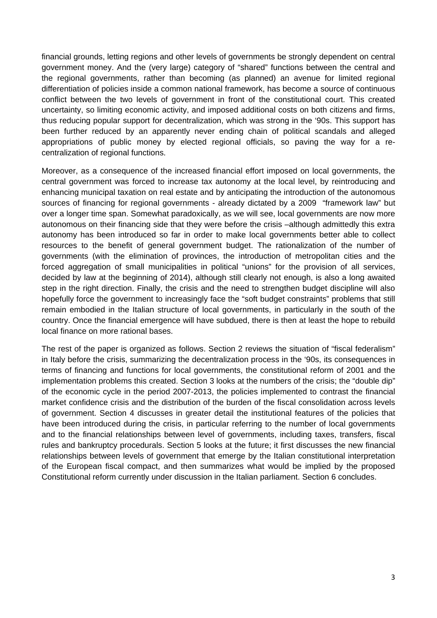financial grounds, letting regions and other levels of governments be strongly dependent on central government money. And the (very large) category of "shared" functions between the central and the regional governments, rather than becoming (as planned) an avenue for limited regional differentiation of policies inside a common national framework, has become a source of continuous conflict between the two levels of government in front of the constitutional court. This created uncertainty, so limiting economic activity, and imposed additional costs on both citizens and firms, thus reducing popular support for decentralization, which was strong in the '90s. This support has been further reduced by an apparently never ending chain of political scandals and alleged appropriations of public money by elected regional officials, so paving the way for a recentralization of regional functions.

Moreover, as a consequence of the increased financial effort imposed on local governments, the central government was forced to increase tax autonomy at the local level, by reintroducing and enhancing municipal taxation on real estate and by anticipating the introduction of the autonomous sources of financing for regional governments - already dictated by a 2009 "framework law" but over a longer time span. Somewhat paradoxically, as we will see, local governments are now more autonomous on their financing side that they were before the crisis –although admittedly this extra autonomy has been introduced so far in order to make local governments better able to collect resources to the benefit of general government budget. The rationalization of the number of governments (with the elimination of provinces, the introduction of metropolitan cities and the forced aggregation of small municipalities in political "unions" for the provision of all services, decided by law at the beginning of 2014), although still clearly not enough, is also a long awaited step in the right direction. Finally, the crisis and the need to strengthen budget discipline will also hopefully force the government to increasingly face the "soft budget constraints" problems that still remain embodied in the Italian structure of local governments, in particularly in the south of the country. Once the financial emergence will have subdued, there is then at least the hope to rebuild local finance on more rational bases.

The rest of the paper is organized as follows. Section 2 reviews the situation of "fiscal federalism" in Italy before the crisis, summarizing the decentralization process in the '90s, its consequences in terms of financing and functions for local governments, the constitutional reform of 2001 and the implementation problems this created. Section 3 looks at the numbers of the crisis; the "double dip" of the economic cycle in the period 2007-2013, the policies implemented to contrast the financial market confidence crisis and the distribution of the burden of the fiscal consolidation across levels of government. Section 4 discusses in greater detail the institutional features of the policies that have been introduced during the crisis, in particular referring to the number of local governments and to the financial relationships between level of governments, including taxes, transfers, fiscal rules and bankruptcy procedurals. Section 5 looks at the future; it first discusses the new financial relationships between levels of government that emerge by the Italian constitutional interpretation of the European fiscal compact, and then summarizes what would be implied by the proposed Constitutional reform currently under discussion in the Italian parliament. Section 6 concludes.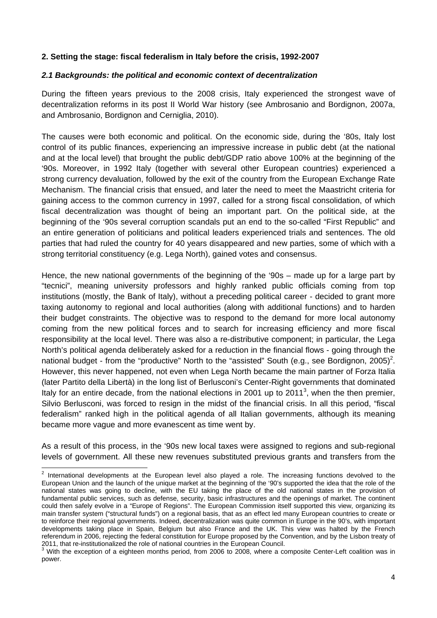#### **2. Setting the stage: fiscal federalism in Italy before the crisis, 1992-2007**

#### *2.1 Backgrounds: the political and economic context of decentralization*

During the fifteen years previous to the 2008 crisis, Italy experienced the strongest wave of decentralization reforms in its post II World War history (see Ambrosanio and Bordignon, 2007a, and Ambrosanio, Bordignon and Cerniglia, 2010).

The causes were both economic and political. On the economic side, during the '80s, Italy lost control of its public finances, experiencing an impressive increase in public debt (at the national and at the local level) that brought the public debt/GDP ratio above 100% at the beginning of the '90s. Moreover, in 1992 Italy (together with several other European countries) experienced a strong currency devaluation, followed by the exit of the country from the European Exchange Rate Mechanism. The financial crisis that ensued, and later the need to meet the Maastricht criteria for gaining access to the common currency in 1997, called for a strong fiscal consolidation, of which fiscal decentralization was thought of being an important part. On the political side, at the beginning of the '90s several corruption scandals put an end to the so-called "First Republic" and an entire generation of politicians and political leaders experienced trials and sentences. The old parties that had ruled the country for 40 years disappeared and new parties, some of which with a strong territorial constituency (e.g. Lega North), gained votes and consensus.

Hence, the new national governments of the beginning of the '90s – made up for a large part by "tecnici", meaning university professors and highly ranked public officials coming from top institutions (mostly, the Bank of Italy), without a preceding political career - decided to grant more taxing autonomy to regional and local authorities (along with additional functions) and to harden their budget constraints. The objective was to respond to the demand for more local autonomy coming from the new political forces and to search for increasing efficiency and more fiscal responsibility at the local level. There was also a re-distributive component; in particular, the Lega North's political agenda deliberately asked for a reduction in the financial flows - going through the national budget - from the "productive" North to the "assisted" South (e.g., see Bordignon, 2005)<sup>2</sup>. However, this never happened, not even when Lega North became the main partner of Forza Italia (later Partito della Libertà) in the long list of Berlusconi's Center-Right governments that dominated Italy for an entire decade, from the national elections in 2001 up to 2011<sup>3</sup>, when the then premier, Silvio Berlusconi, was forced to resign in the midst of the financial crisis. In all this period, "fiscal federalism" ranked high in the political agenda of all Italian governments, although its meaning became more vague and more evanescent as time went by.

As a result of this process, in the '90s new local taxes were assigned to regions and sub-regional levels of government. All these new revenues substituted previous grants and transfers from the

<sup>&</sup>lt;u>2</u><br><sup>2</sup> International developments at the European level also played a role. The increasing functions devolved to the European Union and the launch of the unique market at the beginning of the '90's supported the idea that the role of the national states was going to decline, with the EU taking the place of the old national states in the provision of fundamental public services, such as defense, security, basic infrastructures and the openings of market. The continent could then safely evolve in a "Europe of Regions". The European Commission itself supported this view, organizing its main transfer system ("structural funds") on a regional basis, that as an effect led many European countries to create or to reinforce their regional governments. Indeed, decentralization was quite common in Europe in the 90's, with important developments taking place in Spain, Belgium but also France and the UK. This view was halted by the French referendum in 2006, rejecting the federal constitution for Europe proposed by the Convention, and by the Lisbon treaty of 2011, that re-institutionalized the role of national countries in the European Council. 3

With the exception of a eighteen months period, from 2006 to 2008, where a composite Center-Left coalition was in power.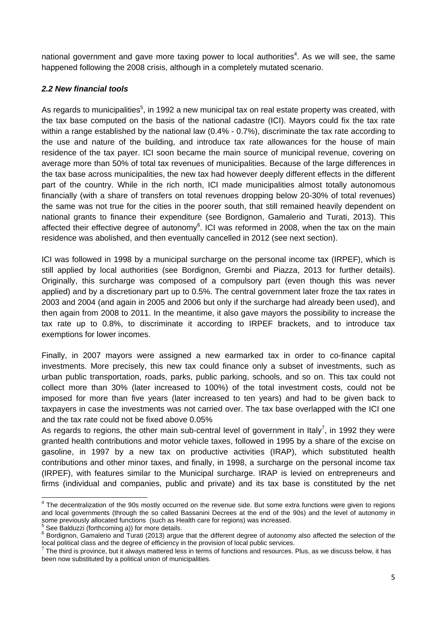national government and gave more taxing power to local authorities<sup>4</sup>. As we will see, the same happened following the 2008 crisis, although in a completely mutated scenario.

#### *2.2 New financial tools*

As regards to municipalities<sup>5</sup>, in 1992 a new municipal tax on real estate property was created, with the tax base computed on the basis of the national cadastre (ICI). Mayors could fix the tax rate within a range established by the national law (0.4% - 0.7%), discriminate the tax rate according to the use and nature of the building, and introduce tax rate allowances for the house of main residence of the tax payer. ICI soon became the main source of municipal revenue, covering on average more than 50% of total tax revenues of municipalities. Because of the large differences in the tax base across municipalities, the new tax had however deeply different effects in the different part of the country. While in the rich north, ICI made municipalities almost totally autonomous financially (with a share of transfers on total revenues dropping below 20-30% of total revenues) the same was not true for the cities in the poorer south, that still remained heavily dependent on national grants to finance their expenditure (see Bordignon, Gamalerio and Turati, 2013). This affected their effective degree of autonomy $6$ . ICI was reformed in 2008, when the tax on the main residence was abolished, and then eventually cancelled in 2012 (see next section).

ICI was followed in 1998 by a municipal surcharge on the personal income tax (IRPEF), which is still applied by local authorities (see Bordignon, Grembi and Piazza, 2013 for further details). Originally, this surcharge was composed of a compulsory part (even though this was never applied) and by a discretionary part up to 0.5%. The central government later froze the tax rates in 2003 and 2004 (and again in 2005 and 2006 but only if the surcharge had already been used), and then again from 2008 to 2011. In the meantime, it also gave mayors the possibility to increase the tax rate up to 0.8%, to discriminate it according to IRPEF brackets, and to introduce tax exemptions for lower incomes.

Finally, in 2007 mayors were assigned a new earmarked tax in order to co-finance capital investments. More precisely, this new tax could finance only a subset of investments, such as urban public transportation, roads, parks, public parking, schools, and so on. This tax could not collect more than 30% (later increased to 100%) of the total investment costs, could not be imposed for more than five years (later increased to ten years) and had to be given back to taxpayers in case the investments was not carried over. The tax base overlapped with the ICI one and the tax rate could not be fixed above 0.05%

As regards to regions, the other main sub-central level of government in Italy<sup>7</sup>, in 1992 they were granted health contributions and motor vehicle taxes, followed in 1995 by a share of the excise on gasoline, in 1997 by a new tax on productive activities (IRAP), which substituted health contributions and other minor taxes, and finally, in 1998, a surcharge on the personal income tax (IRPEF), with features similar to the Municipal surcharge. IRAP is levied on entrepreneurs and firms (individual and companies, public and private) and its tax base is constituted by the net

 4 The decentralization of the 90s mostly occurred on the revenue side. But some extra functions were given to regions and local governments (through the so called Bassanini Decrees at the end of the 90s) and the level of autonomy in some previously allocated functions (such as Health care for regions) was increased.<br><sup>5</sup> See Belduzzi (fortheoming a)) for more datails

See Balduzzi (forthcoming a)) for more details.

 $6$  Bordignon, Gamalerio and Turati (2013) argue that the different degree of autonomy also affected the selection of the local political class and the degree of efficiency in the provision of local public services.

 $^7$  The third is province, but it always mattered less in terms of functions and resources. Plus, as we discuss below, it has been now substituted by a political union of municipalities.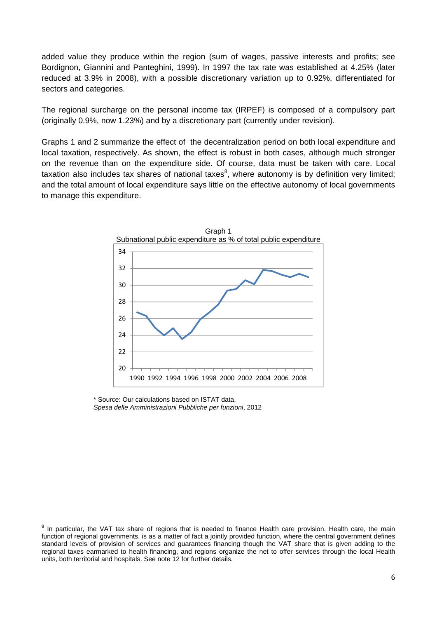added value they produce within the region (sum of wages, passive interests and profits; see Bordignon, Giannini and Panteghini, 1999). In 1997 the tax rate was established at 4.25% (later reduced at 3.9% in 2008), with a possible discretionary variation up to 0.92%, differentiated for sectors and categories.

The regional surcharge on the personal income tax (IRPEF) is composed of a compulsory part (originally 0.9%, now 1.23%) and by a discretionary part (currently under revision).

Graphs 1 and 2 summarize the effect of the decentralization period on both local expenditure and local taxation, respectively. As shown, the effect is robust in both cases, although much stronger on the revenue than on the expenditure side. Of course, data must be taken with care. Local taxation also includes tax shares of national taxes<sup>8</sup>, where autonomy is by definition very limited; and the total amount of local expenditure says little on the effective autonomy of local governments to manage this expenditure.



\* Source: Our calculations based on ISTAT data, *Spesa delle Amministrazioni Pubbliche per funzioni*, 2012

**EXECTS 10**<br>8 In particular, the VAT tax share of regions that is needed to finance Health care provision. Health care, the main function of regional governments, is as a matter of fact a jointly provided function, where the central government defines standard levels of provision of services and guarantees financing though the VAT share that is given adding to the regional taxes earmarked to health financing, and regions organize the net to offer services through the local Health units, both territorial and hospitals. See note 12 for further details.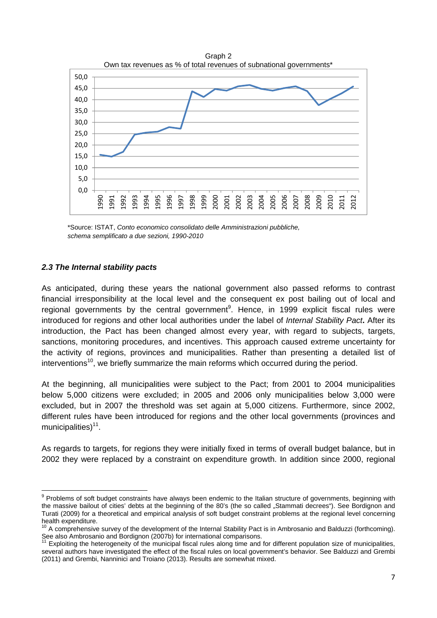

\*Source: ISTAT, *Conto economico consolidato delle Amministrazioni pubbliche, schema semplificato a due sezioni, 1990-2010* 

#### *2.3 The Internal stability pacts*

As anticipated, during these years the national government also passed reforms to contrast financial irresponsibility at the local level and the consequent ex post bailing out of local and regional governments by the central government<sup>9</sup>. Hence, in 1999 explicit fiscal rules were introduced for regions and other local authorities under the label of *Internal Stability Pact***.** After its introduction, the Pact has been changed almost every year, with regard to subjects, targets, sanctions, monitoring procedures, and incentives. This approach caused extreme uncertainty for the activity of regions, provinces and municipalities. Rather than presenting a detailed list of interventions<sup>10</sup>, we briefly summarize the main reforms which occurred during the period.

At the beginning, all municipalities were subject to the Pact; from 2001 to 2004 municipalities below 5,000 citizens were excluded; in 2005 and 2006 only municipalities below 3,000 were excluded, but in 2007 the threshold was set again at 5,000 citizens. Furthermore, since 2002, different rules have been introduced for regions and the other local governments (provinces and municipalities) $11$ .

As regards to targets, for regions they were initially fixed in terms of overall budget balance, but in 2002 they were replaced by a constraint on expenditure growth. In addition since 2000, regional

<sup>&</sup>lt;u>edd</u><br><sup>9</sup> Problems of soft budget constraints have always been endemic to the Italian structure of governments, beginning with the massive bailout of cities' debts at the beginning of the 80's (the so called "Stammati decrees"). See Bordignon and Turati (2009) for a theoretical and empirical analysis of soft budget constraint problems at the regional level concerning health expenditure.

<sup>10</sup> A comprehensive survey of the development of the Internal Stability Pact is in Ambrosanio and Balduzzi (forthcoming). See also Ambrosanio and Bordignon (2007b) for international comparisons.

Exploiting the heterogeneity of the municipal fiscal rules along time and for different population size of municipalities. several authors have investigated the effect of the fiscal rules on local government's behavior. See Balduzzi and Grembi (2011) and Grembi, Nanninici and Troiano (2013). Results are somewhat mixed.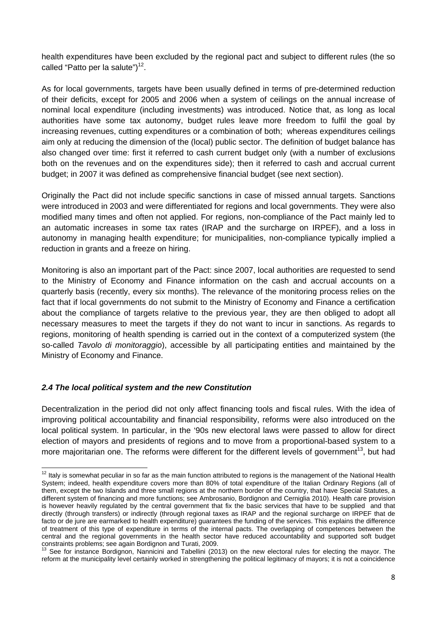health expenditures have been excluded by the regional pact and subject to different rules (the so called "Patto per la salute" $1^{12}$ .

As for local governments, targets have been usually defined in terms of pre-determined reduction of their deficits, except for 2005 and 2006 when a system of ceilings on the annual increase of nominal local expenditure (including investments) was introduced. Notice that, as long as local authorities have some tax autonomy, budget rules leave more freedom to fulfil the goal by increasing revenues, cutting expenditures or a combination of both; whereas expenditures ceilings aim only at reducing the dimension of the (local) public sector. The definition of budget balance has also changed over time: first it referred to cash current budget only (with a number of exclusions both on the revenues and on the expenditures side); then it referred to cash and accrual current budget; in 2007 it was defined as comprehensive financial budget (see next section).

Originally the Pact did not include specific sanctions in case of missed annual targets. Sanctions were introduced in 2003 and were differentiated for regions and local governments. They were also modified many times and often not applied. For regions, non-compliance of the Pact mainly led to an automatic increases in some tax rates (IRAP and the surcharge on IRPEF), and a loss in autonomy in managing health expenditure; for municipalities, non-compliance typically implied a reduction in grants and a freeze on hiring.

Monitoring is also an important part of the Pact: since 2007, local authorities are requested to send to the Ministry of Economy and Finance information on the cash and accrual accounts on a quarterly basis (recently, every six months). The relevance of the monitoring process relies on the fact that if local governments do not submit to the Ministry of Economy and Finance a certification about the compliance of targets relative to the previous year, they are then obliged to adopt all necessary measures to meet the targets if they do not want to incur in sanctions. As regards to regions, monitoring of health spending is carried out in the context of a computerized system (the so-called *Tavolo di monitoraggio*), accessible by all participating entities and maintained by the Ministry of Economy and Finance.

#### *2.4 The local political system and the new Constitution*

Decentralization in the period did not only affect financing tools and fiscal rules. With the idea of improving political accountability and financial responsibility, reforms were also introduced on the local political system. In particular, in the '90s new electoral laws were passed to allow for direct election of mayors and presidents of regions and to move from a proportional-based system to a more majoritarian one. The reforms were different for the different levels of government<sup>13</sup>, but had

<sup>&</sup>lt;u> 1980 - Andrea Andrew Maria (h. 1980).</u><br>1980 - Andrew Maria (h. 1980).  $12$  Italy is somewhat peculiar in so far as the main function attributed to regions is the management of the National Health System; indeed, health expenditure covers more than 80% of total expenditure of the Italian Ordinary Regions (all of them, except the two Islands and three small regions at the northern border of the country, that have Special Statutes, a different system of financing and more functions; see Ambrosanio, Bordignon and Cerniglia 2010). Health care provision is however heavily regulated by the central government that fix the basic services that have to be supplied and that directly (through transfers) or indirectly (through regional taxes as IRAP and the regional surcharge on IRPEF that de facto or de jure are earmarked to health expenditure) guarantees the funding of the services. This explains the difference of treatment of this type of expenditure in terms of the internal pacts. The overlapping of competences between the central and the regional governments in the health sector have reduced accountability and supported soft budget constraints problems; see again Bordignon and Turati, 2009.

See for instance Bordignon, Nannicini and Tabellini (2013) on the new electoral rules for electing the mayor. The reform at the municipality level certainly worked in strengthening the political legitimacy of mayors; it is not a coincidence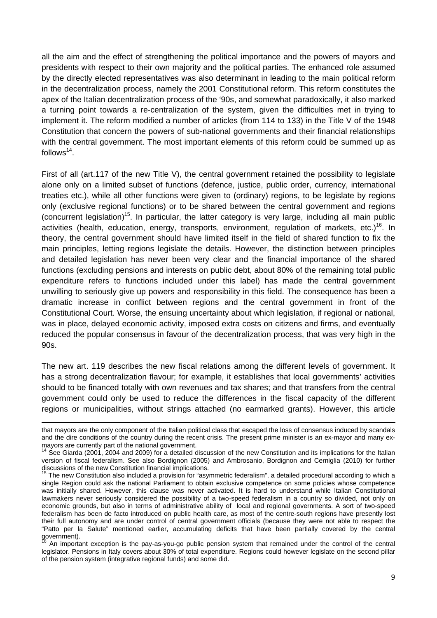all the aim and the effect of strengthening the political importance and the powers of mayors and presidents with respect to their own majority and the political parties. The enhanced role assumed by the directly elected representatives was also determinant in leading to the main political reform in the decentralization process, namely the 2001 Constitutional reform. This reform constitutes the apex of the Italian decentralization process of the '90s, and somewhat paradoxically, it also marked a turning point towards a re-centralization of the system, given the difficulties met in trying to implement it. The reform modified a number of articles (from 114 to 133) in the Title V of the 1948 Constitution that concern the powers of sub-national governments and their financial relationships with the central government. The most important elements of this reform could be summed up as follows $14$ .

First of all (art.117 of the new Title V), the central government retained the possibility to legislate alone only on a limited subset of functions (defence, justice, public order, currency, international treaties etc.), while all other functions were given to (ordinary) regions, to be legislate by regions only (exclusive regional functions) or to be shared between the central government and regions (concurrent legislation)<sup>15</sup>. In particular, the latter category is very large, including all main public activities (health, education, energy, transports, environment, regulation of markets, etc.)<sup>16</sup>. In theory, the central government should have limited itself in the field of shared function to fix the main principles, letting regions legislate the details. However, the distinction between principles and detailed legislation has never been very clear and the financial importance of the shared functions (excluding pensions and interests on public debt, about 80% of the remaining total public expenditure refers to functions included under this label) has made the central government unwilling to seriously give up powers and responsibility in this field. The consequence has been a dramatic increase in conflict between regions and the central government in front of the Constitutional Court. Worse, the ensuing uncertainty about which legislation, if regional or national, was in place, delayed economic activity, imposed extra costs on citizens and firms, and eventually reduced the popular consensus in favour of the decentralization process, that was very high in the 90s.

The new art. 119 describes the new fiscal relations among the different levels of government. It has a strong decentralization flavour; for example, it establishes that local governments' activities should to be financed totally with own revenues and tax shares; and that transfers from the central government could only be used to reduce the differences in the fiscal capacity of the different regions or municipalities, without strings attached (no earmarked grants). However, this article

<u> 1989 - Johann Stoff, amerikansk politiker (d. 1989)</u>

that mayors are the only component of the Italian political class that escaped the loss of consensus induced by scandals and the dire conditions of the country during the recent crisis. The present prime minister is an ex-mayor and many ex-<br>mayors are currently part of the national government.

 $14$  See Giarda (2001, 2004 and 2009) for a detailed discussion of the new Constitution and its implications for the Italian version of fiscal federalism. See also Bordignon (2005) and Ambrosanio, Bordignon and Cerniglia (2010) for further discussions of the new Constitution financial implications.

<sup>15</sup> The new Constitution also included a provision for "asymmetric federalism", a detailed procedural according to which a single Region could ask the national Parliament to obtain exclusive competence on some policies whose competence was initially shared. However, this clause was never activated. It is hard to understand while Italian Constitutional lawmakers never seriously considered the possibility of a two-speed federalism in a country so divided, not only on economic grounds, but also in terms of administrative ability of local and regional governments. A sort of two-speed federalism has been de facto introduced on public health care, as most of the centre-south regions have presently lost their full autonomy and are under control of central government officials (because they were not able to respect the "Patto per la Salute" mentioned earlier, accumulating deficits that have been partially covered by the central  $g$ overnment).

<sup>16</sup> An important exception is the pay-as-you-go public pension system that remained under the control of the central legislator. Pensions in Italy covers about 30% of total expenditure. Regions could however legislate on the second pillar of the pension system (integrative regional funds) and some did.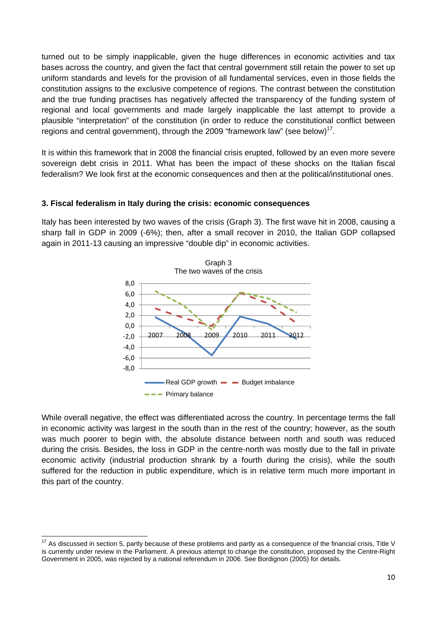turned out to be simply inapplicable, given the huge differences in economic activities and tax bases across the country, and given the fact that central government still retain the power to set up uniform standards and levels for the provision of all fundamental services, even in those fields the constitution assigns to the exclusive competence of regions. The contrast between the constitution and the true funding practises has negatively affected the transparency of the funding system of regional and local governments and made largely inapplicable the last attempt to provide a plausible "interpretation" of the constitution (in order to reduce the constitutional conflict between regions and central government), through the 2009 "framework law" (see below)<sup>17</sup>.

It is within this framework that in 2008 the financial crisis erupted, followed by an even more severe sovereign debt crisis in 2011. What has been the impact of these shocks on the Italian fiscal federalism? We look first at the economic consequences and then at the political/institutional ones.

#### **3. Fiscal federalism in Italy during the crisis: economic consequences**

Italy has been interested by two waves of the crisis (Graph 3). The first wave hit in 2008, causing a sharp fall in GDP in 2009 (-6%); then, after a small recover in 2010, the Italian GDP collapsed again in 2011-13 causing an impressive "double dip" in economic activities.



While overall negative, the effect was differentiated across the country. In percentage terms the fall in economic activity was largest in the south than in the rest of the country; however, as the south was much poorer to begin with, the absolute distance between north and south was reduced during the crisis. Besides, the loss in GDP in the centre-north was mostly due to the fall in private economic activity (industrial production shrank by a fourth during the crisis), while the south suffered for the reduction in public expenditure, which is in relative term much more important in this part of the country.

<u> 1989 - Andrea Andrew Maria (h. 1989).</u><br>Demografia

 $17$  As discussed in section 5, partly because of these problems and partly as a consequence of the financial crisis, Title V is currently under review in the Parliament. A previous attempt to change the constitution, proposed by the Centre-Right Government in 2005, was rejected by a national referendum in 2006. See Bordignon (2005) for details.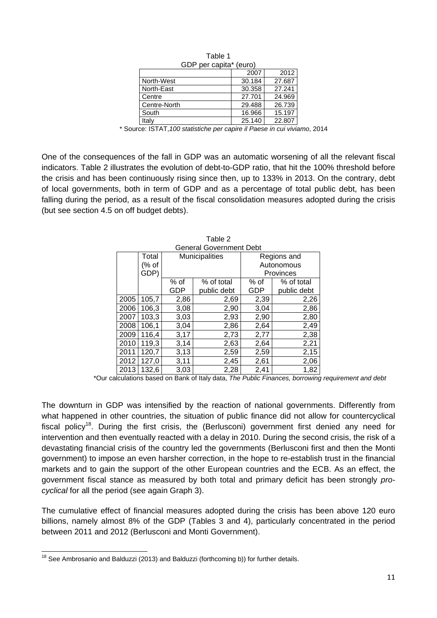| GDP per capita* (euro) |        |        |  |  |  |  |
|------------------------|--------|--------|--|--|--|--|
|                        | 2007   | 2012   |  |  |  |  |
| North-West             | 30.184 | 27.687 |  |  |  |  |
| North-East             | 30.358 | 27.241 |  |  |  |  |
| Centre                 | 27.701 | 24.969 |  |  |  |  |
| Centre-North           | 29.488 | 26.739 |  |  |  |  |
| South                  | 16.966 | 15.197 |  |  |  |  |
| Italy                  | 25.140 | 22.807 |  |  |  |  |

| Table 1                |      |
|------------------------|------|
| GDP per capita* (euro) |      |
|                        | ־חחפ |

\* Source: ISTAT,*100 statistiche per capire il Paese in cui viviamo*, 2014

One of the consequences of the fall in GDP was an automatic worsening of all the relevant fiscal indicators. Table 2 illustrates the evolution of debt-to-GDP ratio, that hit the 100% threshold before the crisis and has been continuously rising since then, up to 133% in 2013. On the contrary, debt of local governments, both in term of GDP and as a percentage of total public debt, has been falling during the period, as a result of the fiscal consolidation measures adopted during the crisis (but see section 4.5 on off budget debts).

|      | <b>General Government Debt</b> |      |                |             |             |  |  |  |  |  |
|------|--------------------------------|------|----------------|-------------|-------------|--|--|--|--|--|
|      | Total                          |      | Municipalities | Regions and |             |  |  |  |  |  |
|      | (% of                          |      |                |             | Autonomous  |  |  |  |  |  |
|      | GDP)                           |      |                |             | Provinces   |  |  |  |  |  |
|      |                                | % of | % of total     | % of        | % of total  |  |  |  |  |  |
|      |                                | GDP  | public debt    | GDP         | public debt |  |  |  |  |  |
| 2005 | 105,7                          | 2,86 | 2,69           | 2,39        | 2,26        |  |  |  |  |  |
| 2006 | 106,3                          | 3,08 | 2,90           | 3,04        | 2,86        |  |  |  |  |  |
| 2007 | 103,3                          | 3,03 | 2,93           | 2,90        | 2,80        |  |  |  |  |  |
| 2008 | 106,1                          | 3,04 | 2,86           | 2,64        | 2,49        |  |  |  |  |  |
| 2009 | 116,4                          | 3,17 | 2,73           | 2,77        | 2,38        |  |  |  |  |  |
| 2010 | 119,3                          | 3,14 | 2,63           | 2,64        | 2,21        |  |  |  |  |  |
| 2011 | 120,7                          | 3,13 | 2,59           | 2,59        | 2,15        |  |  |  |  |  |
| 2012 | 127,0                          | 3,11 | 2,45           | 2,61        | 2,06        |  |  |  |  |  |
| 2013 | 132,6                          | 3,03 | 2,28           | 2,41        | 1,82        |  |  |  |  |  |

Table 2

\*Our calculations based on Bank of Italy data, *The Public Finances, borrowing requirement and debt*

The downturn in GDP was intensified by the reaction of national governments. Differently from what happened in other countries, the situation of public finance did not allow for countercyclical fiscal policy<sup>18</sup>. During the first crisis, the (Berlusconi) government first denied any need for intervention and then eventually reacted with a delay in 2010. During the second crisis, the risk of a devastating financial crisis of the country led the governments (Berlusconi first and then the Monti government) to impose an even harsher correction, in the hope to re-establish trust in the financial markets and to gain the support of the other European countries and the ECB. As an effect, the government fiscal stance as measured by both total and primary deficit has been strongly *procyclical* for all the period (see again Graph 3).

The cumulative effect of financial measures adopted during the crisis has been above 120 euro billions, namely almost 8% of the GDP (Tables 3 and 4), particularly concentrated in the period between 2011 and 2012 (Berlusconi and Monti Government).

  $18$  See Ambrosanio and Balduzzi (2013) and Balduzzi (forthcoming b)) for further details.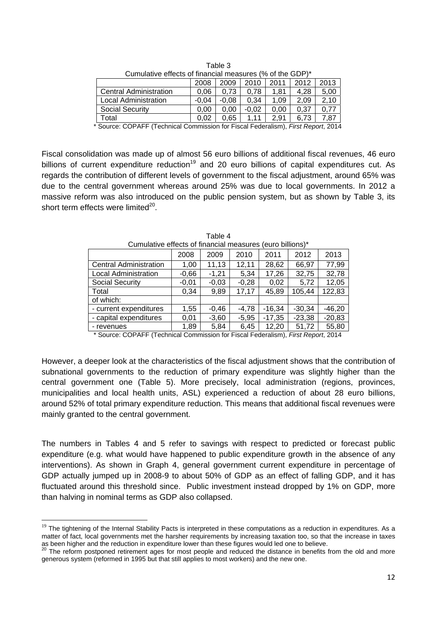|                                              | Cumulative effects of financial measures (% of the GDP)*                                                                                                                                                                                                                                                                 |         |         |         |      |      |      |  |  |  |
|----------------------------------------------|--------------------------------------------------------------------------------------------------------------------------------------------------------------------------------------------------------------------------------------------------------------------------------------------------------------------------|---------|---------|---------|------|------|------|--|--|--|
| 2011<br>2012<br>2013<br>2010<br>2009<br>2008 |                                                                                                                                                                                                                                                                                                                          |         |         |         |      |      |      |  |  |  |
|                                              | <b>Central Administration</b>                                                                                                                                                                                                                                                                                            | 0.06    | 0.73    | 0.78    | 1.81 | 4,28 | 5,00 |  |  |  |
|                                              | Local Administration                                                                                                                                                                                                                                                                                                     | $-0.04$ | $-0.08$ | 0.34    | 1.09 | 2.09 | 2.10 |  |  |  |
|                                              | <b>Social Security</b>                                                                                                                                                                                                                                                                                                   | 0.00    | 0.00    | $-0.02$ | 0.00 | 0.37 | 0.77 |  |  |  |
|                                              | Total                                                                                                                                                                                                                                                                                                                    | 0.02    | 0.65    | 1.11    | 2.91 | 6.73 | 7,87 |  |  |  |
|                                              | $\star$ 0 000 $\star$ 0 $\star$ 1 $\sim$ 0 $\star$ 0 $\star$ 0 $\star$ 0 $\star$ 0 $\star$ 0 $\star$ 0 $\star$ 0 $\star$ 0 $\star$ 0 $\star$ 0 $\star$ 0 $\star$ 0 $\star$ 0 $\star$ 0 $\star$ 0 $\star$ 0 $\star$ 0 $\star$ 0 $\star$ 0 $\star$ 0 $\star$ 0 $\star$ 0 $\star$ 0 $\star$ 0 $\star$ 0 $\star$ 0 $\star$ 0 |         |         |         |      |      |      |  |  |  |

Table 3

\* Source: COPAFF (Technical Commission for Fiscal Federalism), *First Report*, 2014

Fiscal consolidation was made up of almost 56 euro billions of additional fiscal revenues, 46 euro billions of current expenditure reduction<sup>19</sup> and 20 euro billions of capital expenditures cut. As regards the contribution of different levels of government to the fiscal adjustment, around 65% was due to the central government whereas around 25% was due to local governments. In 2012 a massive reform was also introduced on the public pension system, but as shown by Table 3, its short term effects were limited $^{20}$ .

| <u>Curricialive effects of illigitual fileasures (edito billions)</u> |         |         |         |          |          |          |  |  |  |
|-----------------------------------------------------------------------|---------|---------|---------|----------|----------|----------|--|--|--|
|                                                                       | 2008    | 2009    | 2010    | 2011     | 2012     | 2013     |  |  |  |
| <b>Central Administration</b>                                         | 1,00    | 11,13   | 12,11   | 28,62    | 66,97    | 77,99    |  |  |  |
| <b>Local Administration</b>                                           | $-0,66$ | $-1,21$ | 5,34    | 17,26    | 32,75    | 32,78    |  |  |  |
| Social Security                                                       | $-0.01$ | $-0,03$ | $-0.28$ | 0,02     | 5,72     | 12,05    |  |  |  |
| Total                                                                 | 0.34    | 9,89    | 17,17   | 45,89    | 105,44   | 122,83   |  |  |  |
| of which:                                                             |         |         |         |          |          |          |  |  |  |
| - current expenditures                                                | 1,55    | $-0.46$ | $-4,78$ | $-16,34$ | $-30.34$ | $-46,20$ |  |  |  |
| - capital expenditures                                                | 0,01    | $-3,60$ | $-5,95$ | $-17,35$ | $-23,38$ | $-20,83$ |  |  |  |
| - revenues                                                            | 1,89    | 5,84    | 6,45    | 12,20    | 51,72    | 55,80    |  |  |  |

| Table 4                                                   |  |  |
|-----------------------------------------------------------|--|--|
| Cumulative effects of financial measures (euro billions)* |  |  |

\* Source: COPAFF (Technical Commission for Fiscal Federalism), *First Report*, 2014

However, a deeper look at the characteristics of the fiscal adjustment shows that the contribution of subnational governments to the reduction of primary expenditure was slightly higher than the central government one (Table 5). More precisely, local administration (regions, provinces, municipalities and local health units, ASL) experienced a reduction of about 28 euro billions, around 52% of total primary expenditure reduction. This means that additional fiscal revenues were mainly granted to the central government.

The numbers in Tables 4 and 5 refer to savings with respect to predicted or forecast public expenditure (e.g. what would have happened to public expenditure growth in the absence of any interventions). As shown in Graph 4, general government current expenditure in percentage of GDP actually jumped up in 2008-9 to about 50% of GDP as an effect of falling GDP, and it has fluctuated around this threshold since. Public investment instead dropped by 1% on GDP, more than halving in nominal terms as GDP also collapsed.

 $19$  The tightening of the Internal Stability Pacts is interpreted in these computations as a reduction in expenditures. As a matter of fact, local governments met the harsher requirements by increasing taxation too, so that the increase in taxes as been higher and the reduction in expenditure lower than these figures would led one to believe.<br><sup>20</sup> The reform postponed retirement ages for most people and reduced the distance in benefits from the old and more

generous system (reformed in 1995 but that still applies to most workers) and the new one.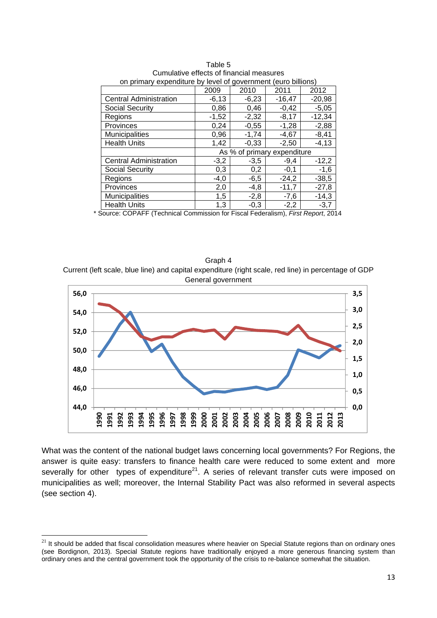| <u>UIT primary experience by level or government (edito billions)</u> |         |             |                 |  |  |  |  |
|-----------------------------------------------------------------------|---------|-------------|-----------------|--|--|--|--|
| 2009                                                                  | 2010    | 2011        | 2012            |  |  |  |  |
| $-6,13$                                                               | $-6,23$ | $-16,47$    | $-20,98$        |  |  |  |  |
| 0,86                                                                  | 0,46    | $-0,42$     | $-5,05$         |  |  |  |  |
| $-1,52$                                                               | $-2,32$ | $-8,17$     | $-12,34$        |  |  |  |  |
| 0,24                                                                  | $-0,55$ | $-1,28$     | $-2,88$         |  |  |  |  |
| 0,96                                                                  | $-1,74$ | $-4,67$     | $-8,41$         |  |  |  |  |
| 1,42                                                                  | $-0.33$ | $-2.50$     | $-4, 13$        |  |  |  |  |
|                                                                       |         | expenditure |                 |  |  |  |  |
| $-3,2$                                                                | $-3,5$  | $-9,4$      | $-12,2$         |  |  |  |  |
| 0,3                                                                   | 0,2     | $-0,1$      | $-1,6$          |  |  |  |  |
| $-4,0$                                                                | $-6,5$  | $-24,2$     | $-38,5$         |  |  |  |  |
| 2,0                                                                   | $-4,8$  | $-11,7$     | $-27,8$         |  |  |  |  |
| 1,5                                                                   | $-2,8$  | $-7,6$      | $-14,3$         |  |  |  |  |
| 1,3                                                                   | $-0,3$  | $-2,2$      | $-3,7$          |  |  |  |  |
|                                                                       |         |             | As % of primary |  |  |  |  |

Table 5 Cumulative effects of financial measures on primary expenditure by level of government (euro billions)

\* Source: COPAFF (Technical Commission for Fiscal Federalism), *First Report*, 2014

Graph 4 Current (left scale, blue line) and capital expenditure (right scale, red line) in percentage of GDP General government



What was the content of the national budget laws concerning local governments? For Regions, the answer is quite easy: transfers to finance health care were reduced to some extent and more severally for other types of expenditure<sup>21</sup>. A series of relevant transfer cuts were imposed on municipalities as well; moreover, the Internal Stability Pact was also reformed in several aspects (see section 4).

 $^{21}$  It should be added that fiscal consolidation measures where heavier on Special Statute regions than on ordinary ones (see Bordignon, 2013). Special Statute regions have traditionally enjoyed a more generous financing system than ordinary ones and the central government took the opportunity of the crisis to re-balance somewhat the situation.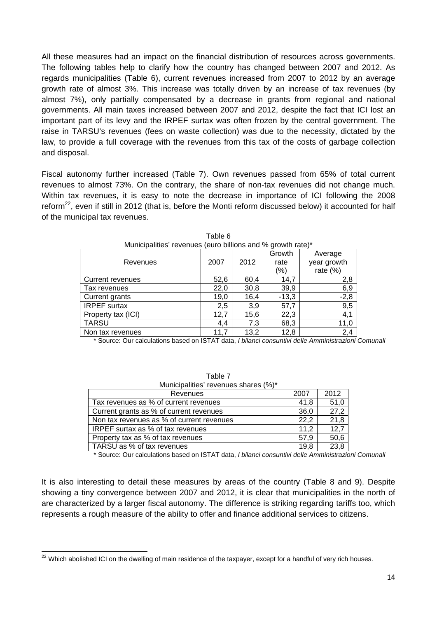All these measures had an impact on the financial distribution of resources across governments. The following tables help to clarify how the country has changed between 2007 and 2012. As regards municipalities (Table 6), current revenues increased from 2007 to 2012 by an average growth rate of almost 3%. This increase was totally driven by an increase of tax revenues (by almost 7%), only partially compensated by a decrease in grants from regional and national governments. All main taxes increased between 2007 and 2012, despite the fact that ICI lost an important part of its levy and the IRPEF surtax was often frozen by the central government. The raise in TARSU's revenues (fees on waste collection) was due to the necessity, dictated by the law, to provide a full coverage with the revenues from this tax of the costs of garbage collection and disposal.

Fiscal autonomy further increased (Table 7). Own revenues passed from 65% of total current revenues to almost 73%. On the contrary, the share of non-tax revenues did not change much. Within tax revenues, it is easy to note the decrease in importance of ICI following the 2008 reform<sup>22</sup>, even if still in 2012 (that is, before the Monti reform discussed below) it accounted for half of the municipal tax revenues.

| Municipalities' revenues (euro billions and % growth rate)* |      |      |         |             |  |  |  |  |  |
|-------------------------------------------------------------|------|------|---------|-------------|--|--|--|--|--|
|                                                             |      |      | Growth  | Average     |  |  |  |  |  |
| Revenues                                                    | 2007 | 2012 | rate    | year growth |  |  |  |  |  |
|                                                             |      |      | (%)     | rate $(\%)$ |  |  |  |  |  |
| Current revenues                                            | 52,6 | 60,4 | 14,7    | 2,8         |  |  |  |  |  |
| Tax revenues                                                | 22,0 | 30,8 | 39,9    | 6,9         |  |  |  |  |  |
| Current grants                                              | 19,0 | 16,4 | $-13,3$ | $-2,8$      |  |  |  |  |  |
| <b>IRPEF</b> surtax                                         | 2,5  | 3,9  | 57,7    | 9,5         |  |  |  |  |  |
| Property tax (ICI)                                          | 12,7 | 15,6 | 22,3    | 4,1         |  |  |  |  |  |
| <b>TARSU</b>                                                | 4,4  | 7,3  | 68,3    | 11,0        |  |  |  |  |  |
| Non tax revenues                                            | 11,7 | 13,2 | 12,8    | 2,4         |  |  |  |  |  |

Table 6

\* Source: Our calculations based on ISTAT data, *I bilanci consuntivi delle Amministrazioni Comunali*

| .                                         |      |      |
|-------------------------------------------|------|------|
| Municipalities' revenues shares (%)*      |      |      |
| Revenues                                  | 2007 | 2012 |
| Tax revenues as % of current revenues     | 41,8 | 51,0 |
| Current grants as % of current revenues   | 36,0 | 27,2 |
| Non tax revenues as % of current revenues | 22,2 | 21,8 |
| IRPEF surtax as % of tax revenues         | 11.2 | 12,7 |
| Property tax as % of tax revenues         | 57,9 | 50,6 |
| TARSU as % of tax revenues                | 19,8 | 23,8 |

Table 7

\* Source: Our calculations based on ISTAT data, *I bilanci consuntivi delle Amministrazioni Comunali*

It is also interesting to detail these measures by areas of the country (Table 8 and 9). Despite showing a tiny convergence between 2007 and 2012, it is clear that municipalities in the north of are characterized by a larger fiscal autonomy. The difference is striking regarding tariffs too, which represents a rough measure of the ability to offer and finance additional services to citizens.

  $^{22}$  Which abolished ICI on the dwelling of main residence of the taxpayer, except for a handful of very rich houses.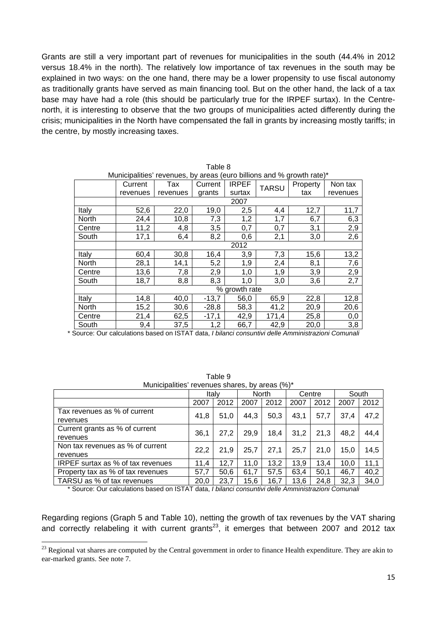Grants are still a very important part of revenues for municipalities in the south (44.4% in 2012 versus 18.4% in the north). The relatively low importance of tax revenues in the south may be explained in two ways: on the one hand, there may be a lower propensity to use fiscal autonomy as traditionally grants have served as main financing tool. But on the other hand, the lack of a tax base may have had a role (this should be particularly true for the IRPEF surtax). In the Centrenorth, it is interesting to observe that the two groups of municipalities acted differently during the crisis; municipalities in the North have compensated the fall in grants by increasing mostly tariffs; in the centre, by mostly increasing taxes.

Table 8

| Municipalities' revenues, by areas (euro billions and % growth rate)* |          |          |         |               |              |          |          |  |
|-----------------------------------------------------------------------|----------|----------|---------|---------------|--------------|----------|----------|--|
|                                                                       | Current  | Tax      | Current | <b>IRPEF</b>  | <b>TARSU</b> | Property | Non tax  |  |
|                                                                       | revenues | revenues | grants  | surtax        |              | tax      | revenues |  |
|                                                                       |          |          |         | 2007          |              |          |          |  |
| Italy                                                                 | 52,6     | 22,0     | 19,0    | 2,5           | 4,4          | 12,7     | 11,7     |  |
| North                                                                 | 24,4     | 10,8     | 7,3     | 1,2           | 1,7          | 6,7      | 6,3      |  |
| Centre                                                                | 11,2     | 4,8      | 3,5     | 0,7           | 0,7          | 3,1      | 2,9      |  |
| South                                                                 | 17,1     | 6,4      | 8,2     | 0,6           | 2,1          | 3,0      | 2,6      |  |
|                                                                       |          |          |         | 2012          |              |          |          |  |
| Italy                                                                 | 60,4     | 30,8     | 16,4    | 3,9           | 7,3          | 15,6     | 13,2     |  |
| North                                                                 | 28,1     | 14,1     | 5,2     | 1,9           | 2,4          | 8,1      | 7,6      |  |
| Centre                                                                | 13,6     | 7,8      | 2,9     | 1,0           | 1,9          | 3,9      | 2,9      |  |
| South                                                                 | 18,7     | 8,8      | 8,3     | 1,0           | 3,0          | 3,6      | 2,7      |  |
|                                                                       |          |          |         | % growth rate |              |          |          |  |
| Italy                                                                 | 14,8     | 40,0     | $-13,7$ | 56,0          | 65,9         | 22,8     | 12,8     |  |
| North                                                                 | 15,2     | 30,6     | $-28,8$ | 58,3          | 41,2         | 20,9     | 20,6     |  |
| Centre                                                                | 21,4     | 62,5     | $-17,1$ | 42,9          | 171,4        | 25,8     | 0,0      |  |
| South                                                                 | 9,4      | 37,5     | 1,2     | 66,7          | 42,9         | 20,0     | 3,8      |  |

\* Source: Our calculations based on ISTAT data, *I bilanci consuntivi delle Amministrazioni Comunali*

| Municipalities' revenues shares, by areas (%)* |      |       |       |      |        |      |       |      |
|------------------------------------------------|------|-------|-------|------|--------|------|-------|------|
|                                                |      | Italv | North |      | Centre |      | South |      |
|                                                | 2007 | 2012  | 2007  | 2012 | 2007   | 2012 | 2007  | 2012 |
| Tax revenues as % of current<br>revenues       | 41,8 | 51,0  | 44.3  | 50,3 | 43,1   | 57.7 | 37.4  | 47,2 |
| Current grants as % of current<br>revenues     | 36,1 | 27,2  | 29,9  | 18,4 | 31,2   | 21,3 | 48,2  | 44,4 |
| Non tax revenues as % of current<br>revenues   | 22,2 | 21.9  | 25,7  | 27,1 | 25,7   | 21.0 | 15.0  | 14,5 |
| IRPEF surtax as % of tax revenues              | 11.4 | 12,7  | 11,0  | 13,2 | 13,9   | 13,4 | 10,0  | 11,1 |
| Property tax as % of tax revenues              | 57,7 | 50,6  | 61,7  | 57,5 | 63.4   | 50,1 | 46.7  | 40,2 |
| TARSU as % of tax revenues                     | 20,0 | 23,7  | 15,6  | 16.7 | 13,6   | 24,8 | 32,3  | 34,0 |

Table 9 Municipalities' revenues shares, by areas (%)\*

\* Source: Our calculations based on ISTAT data, *I bilanci consuntivi delle Amministrazioni Comunali*

Regarding regions (Graph 5 and Table 10), netting the growth of tax revenues by the VAT sharing and correctly relabeling it with current grants<sup>23</sup>, it emerges that between 2007 and 2012 tax

<sup>&</sup>lt;sup>23</sup> Regional vat shares are computed by the Central government in order to finance Health expenditure. They are akin to ear-marked grants. See note 7.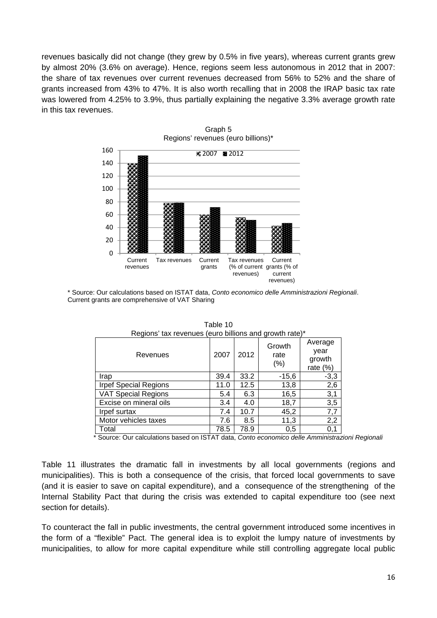revenues basically did not change (they grew by 0.5% in five years), whereas current grants grew by almost 20% (3.6% on average). Hence, regions seem less autonomous in 2012 that in 2007: the share of tax revenues over current revenues decreased from 56% to 52% and the share of grants increased from 43% to 47%. It is also worth recalling that in 2008 the IRAP basic tax rate was lowered from 4.25% to 3.9%, thus partially explaining the negative 3.3% average growth rate in this tax revenues.



\* Source: Our calculations based on ISTAT data, *Conto economico delle Amministrazioni Regionali*. Current grants are comprehensive of VAT Sharing

| Regions' tax revenues (euro billions and growth rate)* |      |      |                           |                                          |  |  |  |
|--------------------------------------------------------|------|------|---------------------------|------------------------------------------|--|--|--|
| Revenues                                               | 2007 | 2012 | Growth<br>rate<br>$(\% )$ | Average<br>year<br>growth<br>rate $(\%)$ |  |  |  |
| Irap                                                   | 39.4 | 33.2 | $-15,6$                   | $-3,3$                                   |  |  |  |
| <b>Irpef Special Regions</b>                           | 11.0 | 12.5 | 13,8                      | 2,6                                      |  |  |  |
| <b>VAT Special Regions</b>                             | 5.4  | 6.3  | 16,5                      | 3,1                                      |  |  |  |
| Excise on mineral oils                                 | 3.4  | 4.0  | 18,7                      | 3,5                                      |  |  |  |
| Irpef surtax                                           | 7.4  | 10.7 | 45,2                      | 7,7                                      |  |  |  |
| Motor vehicles taxes                                   | 7.6  | 8.5  | 11,3                      | 2,2                                      |  |  |  |
| Total                                                  | 78.5 | 78.9 | 0,5                       | 0,1                                      |  |  |  |

Table 10

\* Source: Our calculations based on ISTAT data, *Conto economico delle Amministrazioni Regionali*

Table 11 illustrates the dramatic fall in investments by all local governments (regions and municipalities). This is both a consequence of the crisis, that forced local governments to save (and it is easier to save on capital expenditure), and a consequence of the strengthening of the Internal Stability Pact that during the crisis was extended to capital expenditure too (see next section for details).

To counteract the fall in public investments, the central government introduced some incentives in the form of a "flexible" Pact. The general idea is to exploit the lumpy nature of investments by municipalities, to allow for more capital expenditure while still controlling aggregate local public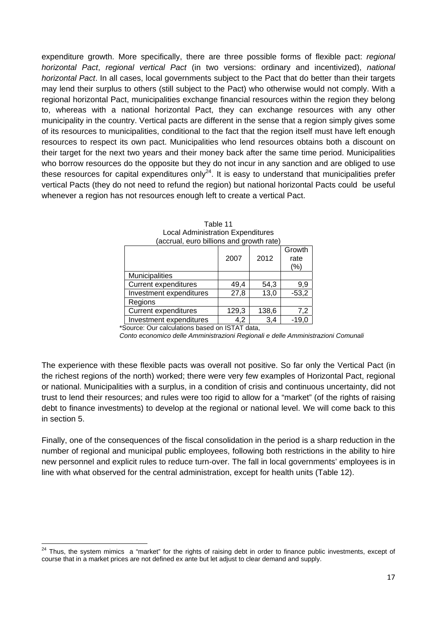expenditure growth. More specifically, there are three possible forms of flexible pact: *regional horizontal Pact*, *regional vertical Pact* (in two versions: ordinary and incentivized), *national horizontal Pact*. In all cases, local governments subject to the Pact that do better than their targets may lend their surplus to others (still subject to the Pact) who otherwise would not comply. With a regional horizontal Pact, municipalities exchange financial resources within the region they belong to, whereas with a national horizontal Pact, they can exchange resources with any other municipality in the country. Vertical pacts are different in the sense that a region simply gives some of its resources to municipalities, conditional to the fact that the region itself must have left enough resources to respect its own pact. Municipalities who lend resources obtains both a discount on their target for the next two years and their money back after the same time period. Municipalities who borrow resources do the opposite but they do not incur in any sanction and are obliged to use these resources for capital expenditures only<sup>24</sup>. It is easy to understand that municipalities prefer vertical Pacts (they do not need to refund the region) but national horizontal Pacts could be useful whenever a region has not resources enough left to create a vertical Pact.

| accidal, cuiu billions and gibwin ialu |       |       |                           |  |
|----------------------------------------|-------|-------|---------------------------|--|
|                                        | 2007  | 2012  | Growth<br>rate<br>$(\% )$ |  |
| <b>Municipalities</b>                  |       |       |                           |  |
| <b>Current expenditures</b>            | 49,4  | 54,3  | 9,9                       |  |
| Investment expenditures                | 27,8  | 13,0  | $-53,2$                   |  |
| Regions                                |       |       |                           |  |
| <b>Current expenditures</b>            | 129,3 | 138,6 | 7,2                       |  |
| Investment expenditures                | 4.2   | 3,4   | -19.0                     |  |

| Table 11                                 |
|------------------------------------------|
| <b>Local Administration Expenditures</b> |
| (accrual, euro billions and growth rate) |

\*Source: Our calculations based on ISTAT data,

*Conto economico delle Amministrazioni Regionali e delle Amministrazioni Comunali* 

The experience with these flexible pacts was overall not positive. So far only the Vertical Pact (in the richest regions of the north) worked; there were very few examples of Horizontal Pact, regional or national. Municipalities with a surplus, in a condition of crisis and continuous uncertainty, did not trust to lend their resources; and rules were too rigid to allow for a "market" (of the rights of raising debt to finance investments) to develop at the regional or national level. We will come back to this in section 5.

Finally, one of the consequences of the fiscal consolidation in the period is a sharp reduction in the number of regional and municipal public employees, following both restrictions in the ability to hire new personnel and explicit rules to reduce turn-over. The fall in local governments' employees is in line with what observed for the central administration, except for health units (Table 12).

 $24$  Thus, the system mimics a "market" for the rights of raising debt in order to finance public investments, except of course that in a market prices are not defined ex ante but let adjust to clear demand and supply.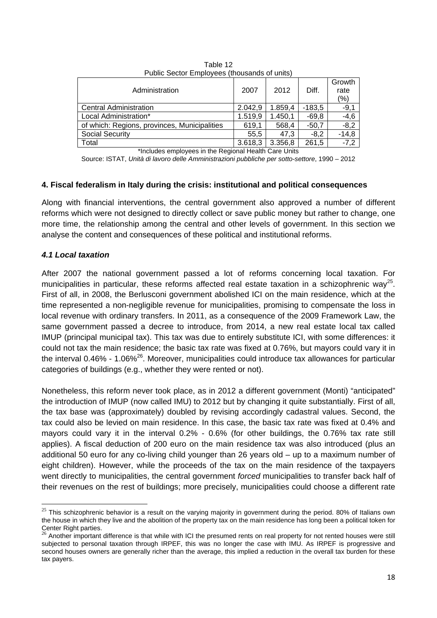| Administration                               | 2007    | 2012    | Diff.    | Growth<br>rate<br>(%) |
|----------------------------------------------|---------|---------|----------|-----------------------|
| <b>Central Administration</b>                | 2.042,9 | 1.859,4 | $-183,5$ | $-9,1$                |
| Local Administration*                        | 1.519,9 | 1.450,1 | $-69.8$  | $-4,6$                |
| of which: Regions, provinces, Municipalities | 619,1   | 568,4   | $-50.7$  | $-8,2$                |
| <b>Social Security</b>                       | 55,5    | 47.3    | $-8,2$   | $-14.8$               |
| Total                                        | 3.618,3 | 3.356,8 | 261,5    | $-7,2$                |
|                                              |         |         |          |                       |

Table 12 Public Sector Employees (thousands of units)

\*Includes employees in the Regional Health Care Units

Source: ISTAT, *Unità di lavoro delle Amministrazioni pubbliche per sotto-settore*, 1990 – 2012

#### **4. Fiscal federalism in Italy during the crisis: institutional and political consequences**

Along with financial interventions, the central government also approved a number of different reforms which were not designed to directly collect or save public money but rather to change, one more time, the relationship among the central and other levels of government. In this section we analyse the content and consequences of these political and institutional reforms.

#### *4.1 Local taxation*

After 2007 the national government passed a lot of reforms concerning local taxation. For municipalities in particular, these reforms affected real estate taxation in a schizophrenic way<sup>25</sup>. First of all, in 2008, the Berlusconi government abolished ICI on the main residence, which at the time represented a non-negligible revenue for municipalities, promising to compensate the loss in local revenue with ordinary transfers. In 2011, as a consequence of the 2009 Framework Law, the same government passed a decree to introduce, from 2014, a new real estate local tax called IMUP (principal municipal tax). This tax was due to entirely substitute ICI, with some differences: it could not tax the main residence; the basic tax rate was fixed at 0.76%, but mayors could vary it in the interval 0.46% - 1.06%<sup>26</sup>. Moreover, municipalities could introduce tax allowances for particular categories of buildings (e.g., whether they were rented or not).

Nonetheless, this reform never took place, as in 2012 a different government (Monti) "anticipated" the introduction of IMUP (now called IMU) to 2012 but by changing it quite substantially. First of all, the tax base was (approximately) doubled by revising accordingly cadastral values. Second, the tax could also be levied on main residence. In this case, the basic tax rate was fixed at 0.4% and mayors could vary it in the interval 0.2% - 0.6% (for other buildings, the 0.76% tax rate still applies). A fiscal deduction of 200 euro on the main residence tax was also introduced (plus an additional 50 euro for any co-living child younger than 26 years old – up to a maximum number of eight children). However, while the proceeds of the tax on the main residence of the taxpayers went directly to municipalities, the central government *forced* municipalities to transfer back half of their revenues on the rest of buildings; more precisely, municipalities could choose a different rate

 $25$  This schizophrenic behavior is a result on the varying majority in government during the period. 80% of Italians own the house in which they live and the abolition of the property tax on the main residence has long been a political token for Center Right parties.<br><sup>26</sup> Another important difference is that while with ICI the presumed rents on real property for not rented houses were still

subjected to personal taxation through IRPEF, this was no longer the case with IMU. As IRPEF is progressive and second houses owners are generally richer than the average, this implied a reduction in the overall tax burden for these tax payers.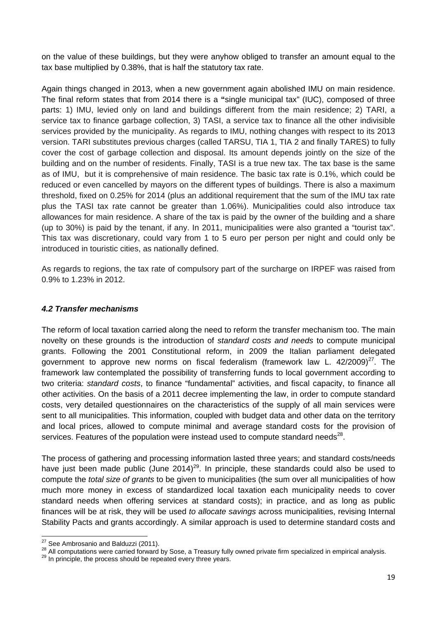on the value of these buildings, but they were anyhow obliged to transfer an amount equal to the tax base multiplied by 0.38%, that is half the statutory tax rate.

Again things changed in 2013, when a new government again abolished IMU on main residence. The final reform states that from 2014 there is a **"**single municipal tax" (IUC), composed of three parts: 1) IMU, levied only on land and buildings different from the main residence; 2) TARI, a service tax to finance garbage collection, 3) TASI, a service tax to finance all the other indivisible services provided by the municipality. As regards to IMU, nothing changes with respect to its 2013 version. TARI substitutes previous charges (called TARSU, TIA 1, TIA 2 and finally TARES) to fully cover the cost of garbage collection and disposal. Its amount depends jointly on the size of the building and on the number of residents. Finally, TASI is a true new tax. The tax base is the same as of IMU, but it is comprehensive of main residence. The basic tax rate is 0.1%, which could be reduced or even cancelled by mayors on the different types of buildings. There is also a maximum threshold, fixed on 0.25% for 2014 (plus an additional requirement that the sum of the IMU tax rate plus the TASI tax rate cannot be greater than 1.06%). Municipalities could also introduce tax allowances for main residence. A share of the tax is paid by the owner of the building and a share (up to 30%) is paid by the tenant, if any. In 2011, municipalities were also granted a "tourist tax". This tax was discretionary, could vary from 1 to 5 euro per person per night and could only be introduced in touristic cities, as nationally defined.

As regards to regions, the tax rate of compulsory part of the surcharge on IRPEF was raised from 0.9% to 1.23% in 2012.

#### *4.2 Transfer mechanisms*

The reform of local taxation carried along the need to reform the transfer mechanism too. The main novelty on these grounds is the introduction of *standard costs and needs* to compute municipal grants. Following the 2001 Constitutional reform, in 2009 the Italian parliament delegated government to approve new norms on fiscal federalism (framework law L.  $42/2009)^{27}$ . The framework law contemplated the possibility of transferring funds to local government according to two criteria: *standard costs*, to finance "fundamental" activities, and fiscal capacity, to finance all other activities. On the basis of a 2011 decree implementing the law, in order to compute standard costs, very detailed questionnaires on the characteristics of the supply of all main services were sent to all municipalities. This information, coupled with budget data and other data on the territory and local prices, allowed to compute minimal and average standard costs for the provision of services. Features of the population were instead used to compute standard needs $^{28}$ .

The process of gathering and processing information lasted three years; and standard costs/needs have just been made public (June  $2014)^{29}$ . In principle, these standards could also be used to compute the *total size of grants* to be given to municipalities (the sum over all municipalities of how much more money in excess of standardized local taxation each municipality needs to cover standard needs when offering services at standard costs); in practice, and as long as public finances will be at risk, they will be used *to allocate savings* across municipalities, revising Internal Stability Pacts and grants accordingly. A similar approach is used to determine standard costs and

<sup>&</sup>lt;sup>27</sup> See Ambrosanio and Balduzzi (2011).

<sup>28</sup> All computations were carried forward by Sose, a Treasury fully owned private firm specialized in empirical analysis.<br><sup>29</sup> In principle, the process should be repeated every three years.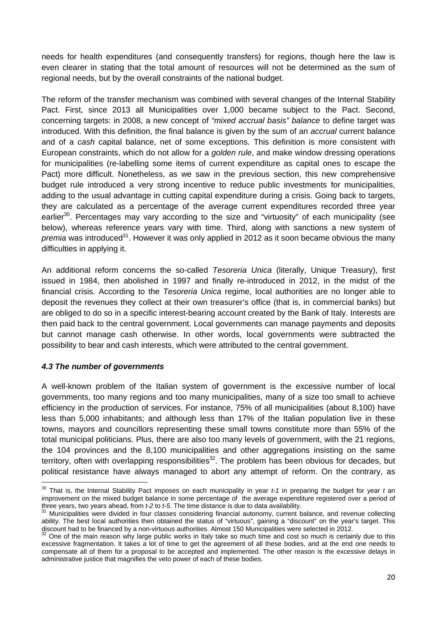needs for health expenditures (and consequently transfers) for regions, though here the law is even clearer in stating that the total amount of resources will not be determined as the sum of regional needs, but by the overall constraints of the national budget.

The reform of the transfer mechanism was combined with several changes of the Internal Stability Pact. First, since 2013 all Municipalities over 1,000 became subject to the Pact. Second, concerning targets: in 2008, a new concept of *"mixed accrual basis" balance* to define target was introduced. With this definition, the final balance is given by the sum of an *accrual* current balance and of a *cash* capital balance, net of some exceptions. This definition is more consistent with European constraints, which do not allow for a *golden rule*, and make window dressing operations for municipalities (re-labelling some items of current expenditure as capital ones to escape the Pact) more difficult. Nonetheless, as we saw in the previous section, this new comprehensive budget rule introduced a very strong incentive to reduce public investments for municipalities, adding to the usual advantage in cutting capital expenditure during a crisis. Going back to targets, they are calculated as a percentage of the average current expenditures recorded three year earlier<sup>30</sup>. Percentages may vary according to the size and "virtuosity" of each municipality (see below), whereas reference years vary with time. Third, along with sanctions a new system of *premia* was introduced<sup>31</sup>. However it was only applied in 2012 as it soon became obvious the many difficulties in applying it.

An additional reform concerns the so-called *Tesoreria Unica* (literally, Unique Treasury), first issued in 1984, then abolished in 1997 and finally re-introduced in 2012, in the midst of the financial crisis. According to the *Tesoreria Unica* regime, local authorities are no longer able to deposit the revenues they collect at their own treasurer's office (that is, in commercial banks) but are obliged to do so in a specific interest-bearing account created by the Bank of Italy. Interests are then paid back to the central government. Local governments can manage payments and deposits but cannot manage cash otherwise. In other words, local governments were subtracted the possibility to bear and cash interests, which were attributed to the central government.

#### *4.3 The number of governments*

A well-known problem of the Italian system of government is the excessive number of local governments, too many regions and too many municipalities, many of a size too small to achieve efficiency in the production of services. For instance, 75% of all municipalities (about 8,100) have less than 5,000 inhabitants; and although less than 17% of the Italian population live in these towns, mayors and councillors representing these small towns constitute more than 55% of the total municipal politicians. Plus, there are also too many levels of government, with the 21 regions, the 104 provinces and the 8,100 municipalities and other aggregations insisting on the same territory, often with overlapping responsibilities<sup>32</sup>. The problem has been obvious for decades, but political resistance have always managed to abort any attempt of reform. On the contrary, as

<sup>30</sup> That is, the Internal Stability Pact imposes on each municipality in year *t-1* in preparing the budget for year *t* an improvement on the mixed budget balance in some percentage of the average expenditure registered over a period of three years, two years ahead, from t-2 to t-5. The time distance is due to data availability.<br><sup>31</sup> Municipalities were divided in four classes considering financial autonomy, current balance, and revenue collecting

ability. The best local authorities then obtained the status of "virtuous", gaining a "discount" on the year's target. This discount had to be financed by a non-virtuous authorities. Almost 150 Municipalities were selected

<sup>&</sup>lt;sup>32</sup> One of the main reason why large public works in Italy take so much time and cost so much is certainly due to this excessive fragmentation. It takes a lot of time to get the agreement of all these bodies, and at the end one needs to compensate all of them for a proposal to be accepted and implemented. The other reason is the excessive delays in administrative justice that magnifies the veto power of each of these bodies.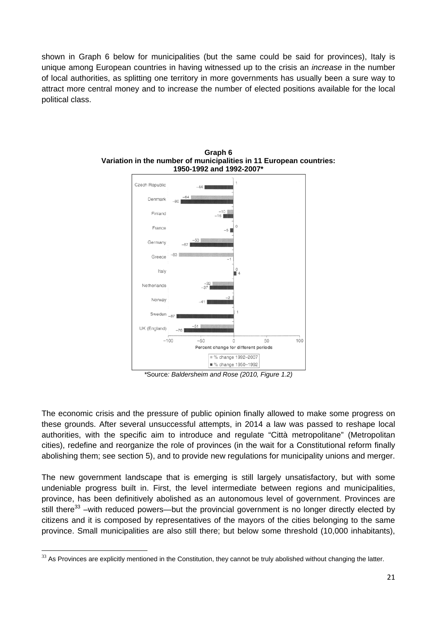shown in Graph 6 below for municipalities (but the same could be said for provinces), Italy is unique among European countries in having witnessed up to the crisis an *increase* in the number of local authorities, as splitting one territory in more governments has usually been a sure way to attract more central money and to increase the number of elected positions available for the local political class.



**Graph 6 Variation in the number of municipalities in 11 European countries: 1950-1992 and 1992-2007\*** 

*\**Source*: Baldersheim and Rose (2010, Figure 1.2)* 

The economic crisis and the pressure of public opinion finally allowed to make some progress on these grounds. After several unsuccessful attempts, in 2014 a law was passed to reshape local authorities, with the specific aim to introduce and regulate "Città metropolitane" (Metropolitan cities), redefine and reorganize the role of provinces (in the wait for a Constitutional reform finally abolishing them; see section 5), and to provide new regulations for municipality unions and merger.

The new government landscape that is emerging is still largely unsatisfactory, but with some undeniable progress built in. First, the level intermediate between regions and municipalities, province, has been definitively abolished as an autonomous level of government. Provinces are still there<sup>33</sup> –with reduced powers—but the provincial government is no longer directly elected by citizens and it is composed by representatives of the mayors of the cities belonging to the same province. Small municipalities are also still there; but below some threshold (10,000 inhabitants),

 $33$  As Provinces are explicitly mentioned in the Constitution, they cannot be truly abolished without changing the latter.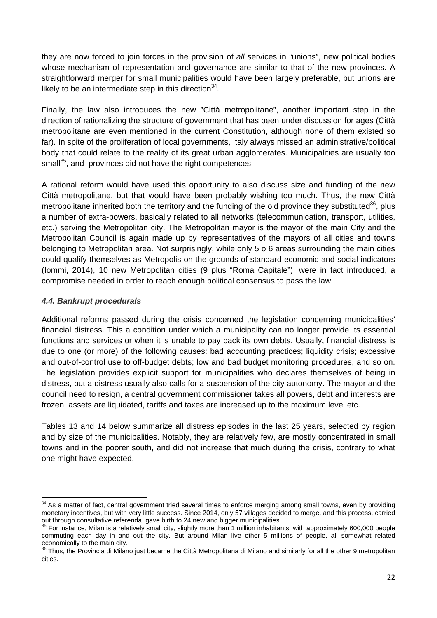they are now forced to join forces in the provision of *all* services in "unions", new political bodies whose mechanism of representation and governance are similar to that of the new provinces. A straightforward merger for small municipalities would have been largely preferable, but unions are likely to be an intermediate step in this direction  $34$ .

Finally, the law also introduces the new "Città metropolitane", another important step in the direction of rationalizing the structure of government that has been under discussion for ages (Città metropolitane are even mentioned in the current Constitution, although none of them existed so far). In spite of the proliferation of local governments, Italy always missed an administrative/political body that could relate to the reality of its great urban agglomerates. Municipalities are usually too small<sup>35</sup>, and provinces did not have the right competences.

A rational reform would have used this opportunity to also discuss size and funding of the new Città metropolitane, but that would have been probably wishing too much. Thus, the new Città metropolitane inherited both the territory and the funding of the old province they substituted<sup>36</sup>, plus a number of extra-powers, basically related to all networks (telecommunication, transport, utilities, etc.) serving the Metropolitan city. The Metropolitan mayor is the mayor of the main City and the Metropolitan Council is again made up by representatives of the mayors of all cities and towns belonging to Metropolitan area. Not surprisingly, while only 5 o 6 areas surrounding the main cities could qualify themselves as Metropolis on the grounds of standard economic and social indicators (Iommi, 2014), 10 new Metropolitan cities (9 plus "Roma Capitale"), were in fact introduced, a compromise needed in order to reach enough political consensus to pass the law.

#### *4.4. Bankrupt procedurals*

Additional reforms passed during the crisis concerned the legislation concerning municipalities' financial distress. This a condition under which a municipality can no longer provide its essential functions and services or when it is unable to pay back its own debts. Usually, financial distress is due to one (or more) of the following causes: bad accounting practices; liquidity crisis; excessive and out-of-control use to off-budget debts; low and bad budget monitoring procedures, and so on. The legislation provides explicit support for municipalities who declares themselves of being in distress, but a distress usually also calls for a suspension of the city autonomy. The mayor and the council need to resign, a central government commissioner takes all powers, debt and interests are frozen, assets are liquidated, tariffs and taxes are increased up to the maximum level etc.

Tables 13 and 14 below summarize all distress episodes in the last 25 years, selected by region and by size of the municipalities. Notably, they are relatively few, are mostly concentrated in small towns and in the poorer south, and did not increase that much during the crisis, contrary to what one might have expected.

  $34$  As a matter of fact, central government tried several times to enforce merging among small towns, even by providing monetary incentives, but with very little success. Since 2014, only 57 villages decided to merge, and this process, carried out through consultative referenda, gave birth to 24 new and bigger municipalities.<br><sup>35</sup> For instance, Milan is a relatively small city, slightly more than 1 million inhabitants, with approximately 600,000 people

commuting each day in and out the city. But around Milan live other 5 millions of people, all somewhat related economically to the main city.

<sup>&</sup>lt;sup>36</sup> Thus, the Provincia di Milano just became the Città Metropolitana di Milano and similarly for all the other 9 metropolitan cities.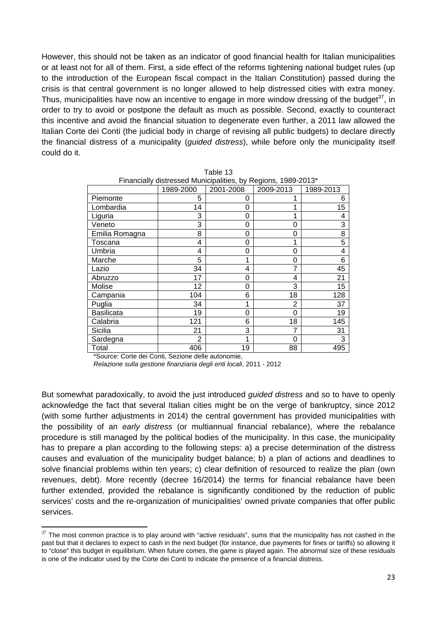However, this should not be taken as an indicator of good financial health for Italian municipalities or at least not for all of them. First, a side effect of the reforms tightening national budget rules (up to the introduction of the European fiscal compact in the Italian Constitution) passed during the crisis is that central government is no longer allowed to help distressed cities with extra money. Thus, municipalities have now an incentive to engage in more window dressing of the budget<sup>37</sup>, in order to try to avoid or postpone the default as much as possible. Second, exactly to counteract this incentive and avoid the financial situation to degenerate even further, a 2011 law allowed the Italian Corte dei Conti (the judicial body in charge of revising all public budgets) to declare directly the financial distress of a municipality (*guided distress*), while before only the municipality itself could do it.

Table 13

| Financially distressed Municipalities, by Regions, 1989-2013* |           |           |           |           |
|---------------------------------------------------------------|-----------|-----------|-----------|-----------|
|                                                               | 1989-2000 | 2001-2008 | 2009-2013 | 1989-2013 |
| Piemonte                                                      | 5         | 0         | 1         | 6         |
| Lombardia                                                     | 14        | 0         | 1         | 15        |
| Liguria                                                       | 3         | 0         | 1         | 4         |
| Veneto                                                        | 3         | 0         | 0         | 3         |
| Emilia Romagna                                                | 8         | 0         | 0         | 8         |
| Toscana                                                       | 4         | 0         | 1         | 5         |
| Umbria                                                        | 4         | 0         | 0         | 4         |
| Marche                                                        | 5         | 1         | 0         | 6         |
| Lazio                                                         | 34        | 4         | 7         | 45        |
| Abruzzo                                                       | 17        | 0         | 4         | 21        |
| Molise                                                        | 12        | 0         | 3         | 15        |
| Campania                                                      | 104       | 6         | 18        | 128       |
| Puglia                                                        | 34        | 1         | 2         | 37        |
| <b>Basilicata</b>                                             | 19        | 0         | 0         | 19        |
| Calabria                                                      | 121       | 6         | 18        | 145       |
| Sicilia                                                       | 21        | 3         | 7         | 31        |
| Sardegna                                                      | 2         | 1         | 0         | 3         |
| Total                                                         | 406       | 19        | 88        | 495       |

\*Source: Corte dei Conti, Sezione delle autonomie,

*Relazione sulla gestione finanziaria degli enti locali*, 2011 - 2012

But somewhat paradoxically, to avoid the just introduced *guided distress* and so to have to openly acknowledge the fact that several Italian cities might be on the verge of bankruptcy, since 2012 (with some further adjustments in 2014) the central government has provided municipalities with the possibility of an *early distress* (or multiannual financial rebalance), where the rebalance procedure is still managed by the political bodies of the municipality. In this case, the municipality has to prepare a plan according to the following steps: a) a precise determination of the distress causes and evaluation of the municipality budget balance; b) a plan of actions and deadlines to solve financial problems within ten years; c) clear definition of resourced to realize the plan (own revenues, debt). More recently (decree 16/2014) the terms for financial rebalance have been further extended, provided the rebalance is significantly conditioned by the reduction of public services' costs and the re-organization of municipalities' owned private companies that offer public services.

 $37$  The most common practice is to play around with "active residuals", sums that the municipality has not cashed in the past but that it declares to expect to cash in the next budget (for instance, due payments for fines or tariffs) so allowing it to "close" this budget in equilibrium. When future comes, the game is played again. The abnormal size of these residuals is one of the indicator used by the Corte dei Conti to indicate the presence of a financial distress.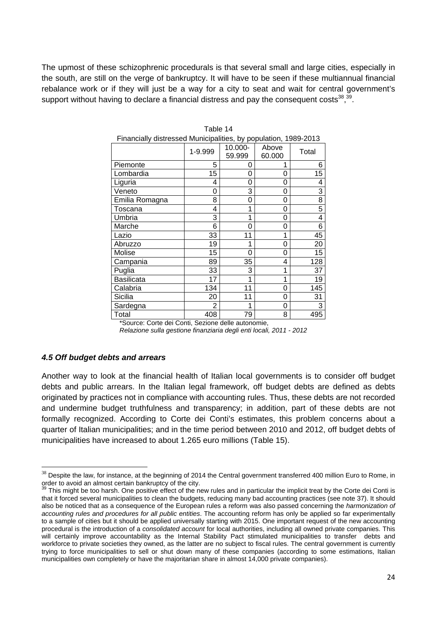The upmost of these schizophrenic procedurals is that several small and large cities, especially in the south, are still on the verge of bankruptcy. It will have to be seen if these multiannual financial rebalance work or if they will just be a way for a city to seat and wait for central government's support without having to declare a financial distress and pay the consequent  $costs^{38},^{39}$ .

|                | 1-9.999 | 10.000-<br>59.999 | Above<br>60.000 | Total           |
|----------------|---------|-------------------|-----------------|-----------------|
| Piemonte       | 5       | 0                 | 1               | 6               |
| Lombardia      | 15      | 0                 | 0               | $\overline{15}$ |
| Liguria        | 4       | 0                 | 0               | 4               |
| Veneto         | 0       | 3                 | 0               | 3               |
| Emilia Romagna | 8       | 0                 | 0               | $\overline{8}$  |
| Toscana        | 4       | 1                 | 0               | $\overline{5}$  |
| Umbria         | 3       | 1                 | 0               | 4               |
| Marche         | 6       | 0                 | 0               | 6               |
| Lazio          | 33      | 11                | 1               | 45              |
| Abruzzo        | 19      | 1                 | 0               | 20              |
| Molise         | 15      | 0                 | 0               | 15              |
| Campania       | 89      | 35                | 4               | 128             |
| Puglia         | 33      | 3                 | 1               | 37              |
| Basilicata     | 17      | 1                 | 1               | 19              |
| Calabria       | 134     | 11                | 0               | 145             |
| Sicilia        | 20      | 11                | 0               | 31              |
| Sardegna       | 2       | 1                 | 0               | 3               |
| Total          | 408     | 79                | 8               | 495             |

| Table 14                                                        |  |
|-----------------------------------------------------------------|--|
| Financially distressed Municipalities, by population, 1989-2013 |  |

\*Source: Corte dei Conti, Sezione delle autonomie, *Relazione sulla gestione finanziaria degli enti locali, 2011 - 2012* 

#### *4.5 Off budget debts and arrears*

Another way to look at the financial health of Italian local governments is to consider off budget debts and public arrears. In the Italian legal framework, off budget debts are defined as debts originated by practices not in compliance with accounting rules. Thus, these debts are not recorded and undermine budget truthfulness and transparency; in addition, part of these debts are not formally recognized. According to Corte dei Conti's estimates, this problem concerns about a quarter of Italian municipalities; and in the time period between 2010 and 2012, off budget debts of municipalities have increased to about 1.265 euro millions (Table 15).

 $38$  Despite the law, for instance, at the beginning of 2014 the Central government transferred 400 million Euro to Rome, in order to avoid an almost certain bankruptcy of the city.<br> $39$  This might be city.

This might be too harsh. One positive effect of the new rules and in particular the implicit treat by the Corte dei Conti is that it forced several municipalities to clean the budgets, reducing many bad accounting practices (see note 37). It should also be noticed that as a consequence of the European rules a reform was also passed concerning the *harmonization of accounting rules and procedures for all public entities*. The accounting reform has only be applied so far experimentally to a sample of cities but it should be applied universally starting with 2015. One important request of the new accounting procedural is the introduction of a *consolidated account* for local authorities, including all owned private companies. This will certainly improve accountability as the Internal Stability Pact stimulated municipalities to transfer debts and workforce to private societies they owned, as the latter are no subject to fiscal rules. The central government is currently trying to force municipalities to sell or shut down many of these companies (according to some estimations, Italian municipalities own completely or have the majoritarian share in almost 14,000 private companies).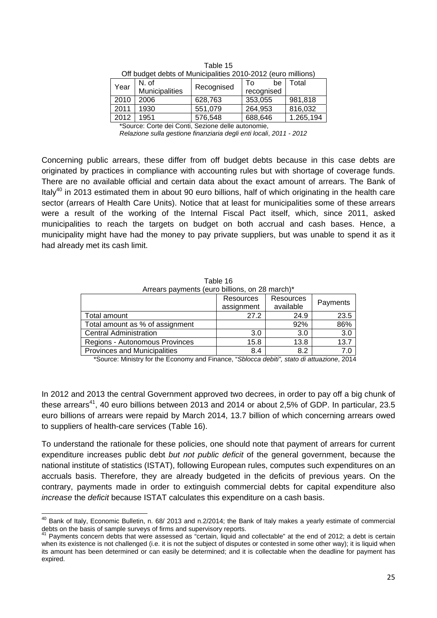| On buddet debts of Municipalities 2010-2012 (euro millions) |                |            |            |           |
|-------------------------------------------------------------|----------------|------------|------------|-----------|
| Year                                                        | N. of          | Recognised | be<br>Т٥   | Total     |
|                                                             | Municipalities |            | recognised |           |
| 2010                                                        | 2006           | 628,763    | 353,055    | 981,818   |
| 2011                                                        | 1930           | 551,079    | 264,953    | 816,032   |
| 2012                                                        | 1951           | 576,548    | 688,646    | 1.265,194 |

| Table 15                                                     |
|--------------------------------------------------------------|
| Off budget debts of Municipalities 2010-2012 (euro millions) |

\*Source: Corte dei Conti, Sezione delle autonomie,

*Relazione sulla gestione finanziaria degli enti locali*, *2011 - 2012*

Concerning public arrears, these differ from off budget debts because in this case debts are originated by practices in compliance with accounting rules but with shortage of coverage funds. There are no available official and certain data about the exact amount of arrears. The Bank of Italy<sup>40</sup> in 2013 estimated them in about 90 euro billions, half of which originating in the health care sector (arrears of Health Care Units). Notice that at least for municipalities some of these arrears were a result of the working of the Internal Fiscal Pact itself, which, since 2011, asked municipalities to reach the targets on budget on both accrual and cash bases. Hence, a municipality might have had the money to pay private suppliers, but was unable to spend it as it had already met its cash limit.

| Arrears payments (euro billions, on 28 march)* |            |           |          |  |
|------------------------------------------------|------------|-----------|----------|--|
|                                                | Resources  | Resources | Payments |  |
|                                                | assignment | available |          |  |
| Total amount                                   | 27.2       | 24.9      | 23.5     |  |
| Total amount as % of assignment                |            | 92%       | 86%      |  |
| <b>Central Administration</b>                  | 3.0        | 3.0       | 3.0      |  |
| Regions - Autonomous Provinces                 | 15.8       | 13.8      | 13.7     |  |
| <b>Provinces and Municipalities</b>            | 8.4        | 8.2       | 7 በ      |  |

Table 16

\*Source: Ministry for the Economy and Finance, "*Sblocca debiti", stato di attuazione*, 2014

In 2012 and 2013 the central Government approved two decrees, in order to pay off a big chunk of these arrears<sup>41</sup>, 40 euro billions between 2013 and 2014 or about 2,5% of GDP. In particular, 23.5 euro billions of arrears were repaid by March 2014, 13.7 billion of which concerning arrears owed to suppliers of health-care services (Table 16).

To understand the rationale for these policies, one should note that payment of arrears for current expenditure increases public debt *but not public deficit* of the general government, because the national institute of statistics (ISTAT), following European rules, computes such expenditures on an accruals basis. Therefore, they are already budgeted in the deficits of previous years. On the contrary, payments made in order to extinguish commercial debts for capital expenditure also *increase* the *deficit* because ISTAT calculates this expenditure on a cash basis.

  $^{40}$  Bank of Italy, Economic Bulletin, n. 68/ 2013 and n.2/2014; the Bank of Italy makes a yearly estimate of commercial debts on the basis of sample surveys of firms and supervisory reports.

Payments concern debts that were assessed as "certain, liquid and collectable" at the end of 2012; a debt is certain when its existence is not challenged (i.e. it is not the subject of disputes or contested in some other way); it is liquid when its amount has been determined or can easily be determined; and it is collectable when the deadline for payment has expired.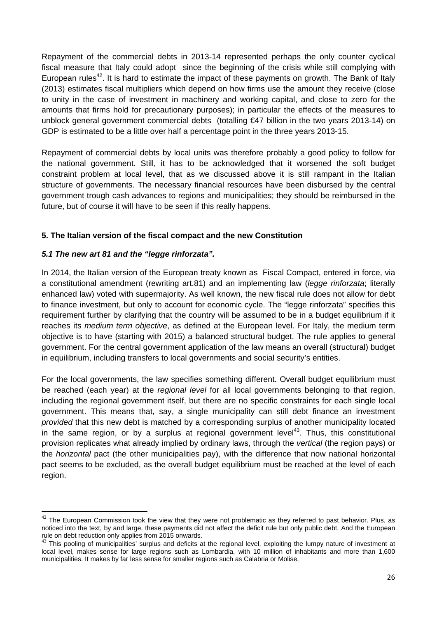Repayment of the commercial debts in 2013-14 represented perhaps the only counter cyclical fiscal measure that Italy could adopt since the beginning of the crisis while still complying with European rules<sup>42</sup>. It is hard to estimate the impact of these payments on growth. The Bank of Italy (2013) estimates fiscal multipliers which depend on how firms use the amount they receive (close to unity in the case of investment in machinery and working capital, and close to zero for the amounts that firms hold for precautionary purposes); in particular the effects of the measures to unblock general government commercial debts (totalling €47 billion in the two years 2013-14) on GDP is estimated to be a little over half a percentage point in the three years 2013-15.

Repayment of commercial debts by local units was therefore probably a good policy to follow for the national government. Still, it has to be acknowledged that it worsened the soft budget constraint problem at local level, that as we discussed above it is still rampant in the Italian structure of governments. The necessary financial resources have been disbursed by the central government trough cash advances to regions and municipalities; they should be reimbursed in the future, but of course it will have to be seen if this really happens.

#### **5. The Italian version of the fiscal compact and the new Constitution**

#### *5.1 The new art 81 and the "legge rinforzata".*

In 2014, the Italian version of the European treaty known as Fiscal Compact, entered in force, via a constitutional amendment (rewriting art.81) and an implementing law (*legge rinforzata*; literally enhanced law) voted with supermajority. As well known, the new fiscal rule does not allow for debt to finance investment, but only to account for economic cycle. The "legge rinforzata" specifies this requirement further by clarifying that the country will be assumed to be in a budget equilibrium if it reaches its *medium term objective*, as defined at the European level. For Italy, the medium term objective is to have (starting with 2015) a balanced structural budget. The rule applies to general government. For the central government application of the law means an overall (structural) budget in equilibrium, including transfers to local governments and social security's entities.

For the local governments, the law specifies something different. Overall budget equilibrium must be reached (each year) at the *regional level* for all local governments belonging to that region, including the regional government itself, but there are no specific constraints for each single local government. This means that, say, a single municipality can still debt finance an investment *provided* that this new debt is matched by a corresponding surplus of another municipality located in the same region, or by a surplus at regional government level<sup>43</sup>. Thus, this constitutional provision replicates what already implied by ordinary laws, through the *vertical* (the region pays) or the *horizontal* pact (the other municipalities pay), with the difference that now national horizontal pact seems to be excluded, as the overall budget equilibrium must be reached at the level of each region.

 $^{42}$  The European Commission took the view that they were not problematic as they referred to past behavior. Plus, as noticed into the text, by and large, these payments did not affect the deficit rule but only public debt. And the European rule on debt reduction only applies from 2015 onwards.

<sup>&</sup>lt;sup>43</sup> This pooling of municipalities' surplus and deficits at the regional level, exploiting the lumpy nature of investment at local level, makes sense for large regions such as Lombardia, with 10 million of inhabitants and more than 1,600 municipalities. It makes by far less sense for smaller regions such as Calabria or Molise.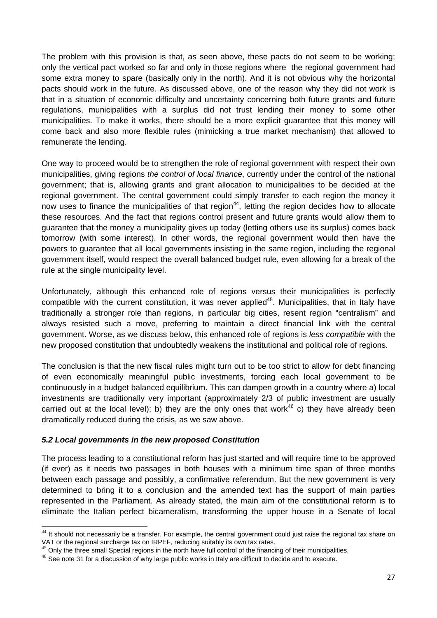The problem with this provision is that, as seen above, these pacts do not seem to be working; only the vertical pact worked so far and only in those regions where the regional government had some extra money to spare (basically only in the north). And it is not obvious why the horizontal pacts should work in the future. As discussed above, one of the reason why they did not work is that in a situation of economic difficulty and uncertainty concerning both future grants and future regulations, municipalities with a surplus did not trust lending their money to some other municipalities. To make it works, there should be a more explicit guarantee that this money will come back and also more flexible rules (mimicking a true market mechanism) that allowed to remunerate the lending.

One way to proceed would be to strengthen the role of regional government with respect their own municipalities, giving regions *the control of local finance*, currently under the control of the national government; that is, allowing grants and grant allocation to municipalities to be decided at the regional government. The central government could simply transfer to each region the money it now uses to finance the municipalities of that region<sup>44</sup>, letting the region decides how to allocate these resources. And the fact that regions control present and future grants would allow them to guarantee that the money a municipality gives up today (letting others use its surplus) comes back tomorrow (with some interest). In other words, the regional government would then have the powers to guarantee that all local governments insisting in the same region, including the regional government itself, would respect the overall balanced budget rule, even allowing for a break of the rule at the single municipality level.

Unfortunately, although this enhanced role of regions versus their municipalities is perfectly compatible with the current constitution, it was never applied<sup>45</sup>. Municipalities, that in Italy have traditionally a stronger role than regions, in particular big cities, resent region "centralism" and always resisted such a move, preferring to maintain a direct financial link with the central government. Worse, as we discuss below, this enhanced role of regions is *less compatible* with the new proposed constitution that undoubtedly weakens the institutional and political role of regions.

The conclusion is that the new fiscal rules might turn out to be too strict to allow for debt financing of even economically meaningful public investments, forcing each local government to be continuously in a budget balanced equilibrium. This can dampen growth in a country where a) local investments are traditionally very important (approximately 2/3 of public investment are usually carried out at the local level); b) they are the only ones that work<sup>46</sup> c) they have already been dramatically reduced during the crisis, as we saw above.

#### *5.2 Local governments in the new proposed Constitution*

The process leading to a constitutional reform has just started and will require time to be approved (if ever) as it needs two passages in both houses with a minimum time span of three months between each passage and possibly, a confirmative referendum. But the new government is very determined to bring it to a conclusion and the amended text has the support of main parties represented in the Parliament. As already stated, the main aim of the constitutional reform is to eliminate the Italian perfect bicameralism, transforming the upper house in a Senate of local

  $44$  It should not necessarily be a transfer. For example, the central government could just raise the regional tax share on VAT or the regional surcharge tax on IRPEF, reducing suitably its own tax rates.<br><sup>45</sup> Only the three small Special regions in the north have full control of the financing of their municipalities.

 $46$  See note 31 for a discussion of why large public works in Italy are difficult to decide and to execute.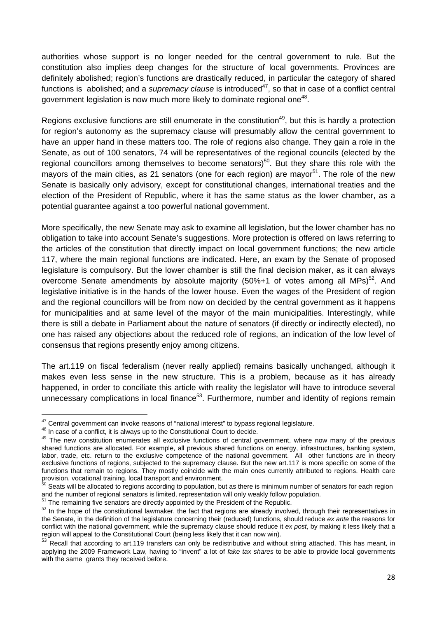authorities whose support is no longer needed for the central government to rule. But the constitution also implies deep changes for the structure of local governments. Provinces are definitely abolished; region's functions are drastically reduced, in particular the category of shared functions is abolished; and a *supremacy clause* is introduced<sup>47</sup>, so that in case of a conflict central government legislation is now much more likely to dominate regional one<sup>48</sup>.

Regions exclusive functions are still enumerate in the constitution<sup>49</sup>, but this is hardly a protection for region's autonomy as the supremacy clause will presumably allow the central government to have an upper hand in these matters too. The role of regions also change. They gain a role in the Senate, as out of 100 senators, 74 will be representatives of the regional councils (elected by the regional councillors among themselves to become senators)<sup>50</sup>. But they share this role with the mayors of the main cities, as 21 senators (one for each region) are mayor<sup>51</sup>. The role of the new Senate is basically only advisory, except for constitutional changes, international treaties and the election of the President of Republic, where it has the same status as the lower chamber, as a potential guarantee against a too powerful national government.

More specifically, the new Senate may ask to examine all legislation, but the lower chamber has no obligation to take into account Senate's suggestions. More protection is offered on laws referring to the articles of the constitution that directly impact on local government functions; the new article 117, where the main regional functions are indicated. Here, an exam by the Senate of proposed legislature is compulsory. But the lower chamber is still the final decision maker, as it can always overcome Senate amendments by absolute majority  $(50\% + 1)$  of votes among all MPs)<sup>52</sup>. And legislative initiative is in the hands of the lower house. Even the wages of the President of region and the regional councillors will be from now on decided by the central government as it happens for municipalities and at same level of the mayor of the main municipalities. Interestingly, while there is still a debate in Parliament about the nature of senators (if directly or indirectly elected), no one has raised any objections about the reduced role of regions, an indication of the low level of consensus that regions presently enjoy among citizens.

The art.119 on fiscal federalism (never really applied) remains basically unchanged, although it makes even less sense in the new structure. This is a problem, because as it has already happened, in order to conciliate this article with reality the legislator will have to introduce several unnecessary complications in local finance<sup>53</sup>. Furthermore, number and identity of regions remain

 $47$  Central government can invoke reasons of "national interest" to bypass regional legislature.

<sup>&</sup>lt;sup>48</sup> In case of a conflict, it is always up to the Constitutional Court to decide.

<sup>&</sup>lt;sup>49</sup> The new constitution enumerates all exclusive functions of central government, where now many of the previous shared functions are allocated. For example, all previous shared functions on energy, infrastructures, banking system, labor, trade, etc. return to the exclusive competence of the national government. All other functions are in theory exclusive functions of regions, subjected to the supremacy clause. But the new art.117 is more specific on some of the functions that remain to regions. They mostly coincide with the main ones currently attributed to regions. Health care provision, vocational training, local transport and environment.<br><sup>50</sup> Seats will be allocated to regions according to population, but as there is minimum number of senators for each region

and the number of regional senators is limited, representation will only weakly follow population.<br><sup>51</sup> The remaining five senators are directly appointed by the President of the Republic.

 $52$  In the hope of the constitutional lawmaker, the fact that regions are already involved, through their representatives in the Senate, in the definition of the legislature concerning their (reduced) functions, should reduce *ex ante* the reasons for conflict with the national government, while the supremacy clause should reduce it *ex post*, by making it less likely that a region will appeal to the Constitutional Court (being less likely that it can now win).

<sup>&</sup>lt;sup>53</sup> Recall that according to art.119 transfers can only be redistributive and without string attached. This has meant, in applying the 2009 Framework Law, having to "invent" a lot of *fake tax shares* to be able to provide local governments with the same grants they received before.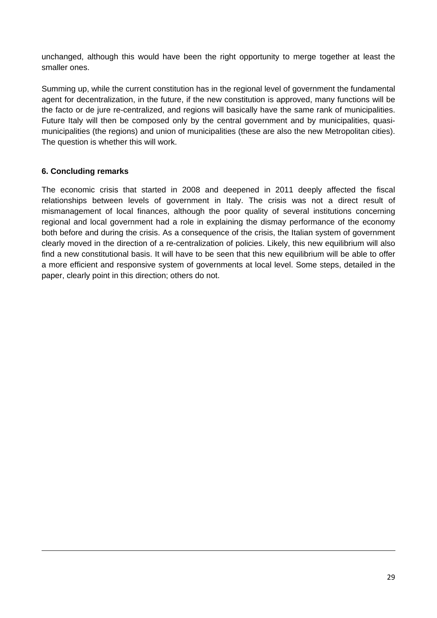unchanged, although this would have been the right opportunity to merge together at least the smaller ones.

Summing up, while the current constitution has in the regional level of government the fundamental agent for decentralization, in the future, if the new constitution is approved, many functions will be the facto or de jure re-centralized, and regions will basically have the same rank of municipalities. Future Italy will then be composed only by the central government and by municipalities, quasimunicipalities (the regions) and union of municipalities (these are also the new Metropolitan cities). The question is whether this will work.

#### **6. Concluding remarks**

The economic crisis that started in 2008 and deepened in 2011 deeply affected the fiscal relationships between levels of government in Italy. The crisis was not a direct result of mismanagement of local finances, although the poor quality of several institutions concerning regional and local government had a role in explaining the dismay performance of the economy both before and during the crisis. As a consequence of the crisis, the Italian system of government clearly moved in the direction of a re-centralization of policies. Likely, this new equilibrium will also find a new constitutional basis. It will have to be seen that this new equilibrium will be able to offer a more efficient and responsive system of governments at local level. Some steps, detailed in the paper, clearly point in this direction; others do not.

<u> 1989 - Johann Stoff, amerikansk politiker (d. 1989)</u>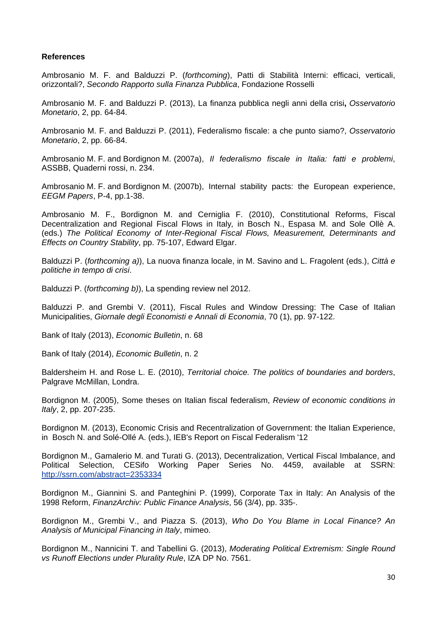#### **References**

Ambrosanio M. F. and Balduzzi P. (*forthcoming*), Patti di Stabilità Interni: efficaci, verticali, orizzontali?, *Secondo Rapporto sulla Finanza Pubblica*, Fondazione Rosselli

Ambrosanio M. F. and Balduzzi P. (2013), La finanza pubblica negli anni della crisi**,** *Osservatorio Monetario*, 2, pp. 64-84.

Ambrosanio M. F. and Balduzzi P. (2011), Federalismo fiscale: a che punto siamo?, *Osservatorio Monetario*, 2, pp. 66-84.

Ambrosanio M. F. and Bordignon M. (2007a), *Il federalismo fiscale in Italia: fatti e problemi*, ASSBB, Quaderni rossi, n. 234.

Ambrosanio M. F. and Bordignon M. (2007b), Internal stability pacts: the European experience, *EEGM Papers*, P-4, pp.1-38.

Ambrosanio M. F., Bordignon M. and Cerniglia F. (2010), Constitutional Reforms, Fiscal Decentralization and Regional Fiscal Flows in Italy*,* in Bosch N., Espasa M. and Sole Ollè A. (eds.) *The Political Economy of Inter-Regional Fiscal Flows, Measurement, Determinants and Effects on Country Stability*, pp. 75-107, Edward Elgar.

Balduzzi P. (*forthcoming a)*), La nuova finanza locale, in M. Savino and L. Fragolent (eds.), *Città e politiche in tempo di crisi*.

Balduzzi P. (*forthcoming b)*), La spending review nel 2012.

Balduzzi P. and Grembi V. (2011), Fiscal Rules and Window Dressing: The Case of Italian Municipalities, *Giornale degli Economisti e Annali di Economia*, 70 (1), pp. 97-122.

Bank of Italy (2013), *Economic Bulletin*, n. 68

Bank of Italy (2014), *Economic Bulletin*, n. 2

Baldersheim H. and Rose L. E. (2010), *Territorial choice. The politics of boundaries and borders*, Palgrave McMillan, Londra.

Bordignon M. (2005), Some theses on Italian fiscal federalism, *Review of economic conditions in Italy*, 2, pp. 207-235.

Bordignon M. (2013), Economic Crisis and Recentralization of Government: the Italian Experience, in Bosch N. and Solé-Ollé A. (eds.), IEB's Report on Fiscal Federalism '12

Bordignon M., Gamalerio M. and Turati G. (2013), Decentralization, Vertical Fiscal Imbalance, and Political Selection, CESifo Working Paper Series No. 4459, available at SSRN: http://ssrn.com/abstract=2353334

Bordignon M., Giannini S. and Panteghini P. (1999), Corporate Tax in Italy: An Analysis of the 1998 Reform, *FinanzArchiv: Public Finance Analysis*, 56 (3/4), pp. 335-.

Bordignon M., Grembi V., and Piazza S. (2013), *Who Do You Blame in Local Finance? An Analysis of Municipal Financing in Italy*, mimeo.

Bordignon M., Nannicini T. and Tabellini G. (2013), *Moderating Political Extremism: Single Round vs Runoff Elections under Plurality Rule*, IZA DP No. 7561.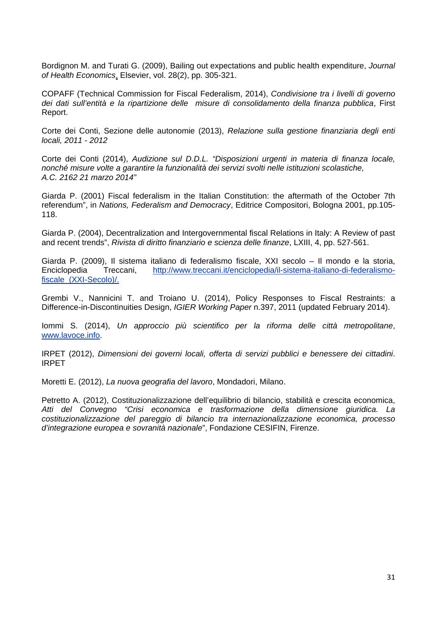Bordignon M. and Turati G. (2009), Bailing out expectations and public health expenditure, *Journal of Health Economics*, Elsevier, vol. 28(2), pp. 305-321.

COPAFF (Technical Commission for Fiscal Federalism, 2014), *Condivisione tra i livelli di governo dei dati sull'entità e la ripartizione delle misure di consolidamento della finanza pubblica*, First Report.

Corte dei Conti, Sezione delle autonomie (2013), *Relazione sulla gestione finanziaria degli enti locali, 2011 - 2012* 

Corte dei Conti (2014), *Audizione sul D.D.L. "Disposizioni urgenti in materia di finanza locale, nonché misure volte a garantire la funzionalità dei servizi svolti nelle istituzioni scolastiche, A.C. 2162 21 marzo 2014"* 

Giarda P. (2001) Fiscal federalism in the Italian Constitution: the aftermath of the October 7th referendum", in *Nations, Federalism and Democracy*, Editrice Compositori, Bologna 2001, pp.105- 118.

Giarda P. (2004), Decentralization and Intergovernmental fiscal Relations in Italy: A Review of past and recent trends", *Rivista di diritto finanziario e scienza delle finanze*, LXIII, 4, pp. 527-561.

Giarda P. (2009), Il sistema italiano di federalismo fiscale, XXI secolo – Il mondo e la storia,<br>Enciclopedia Treccani. http://www.treccani.it/enciclopedia/il-sistema-italiano-di-federalismo-Enciclopedia Treccani, http://www.treccani.it/enciclopedia/il-sistema-italiano-di-federalismofiscale\_(XXI-Secolo)/.

Grembi V., Nannicini T. and Troiano U. (2014), Policy Responses to Fiscal Restraints: a Difference-in-Discontinuities Design, *IGIER Working Paper* n.397, 2011 (updated February 2014).

Iommi S. (2014), *Un approccio più scientifico per la riforma delle città metropolitane*, www.lavoce.info.

IRPET (2012), *Dimensioni dei governi locali, offerta di servizi pubblici e benessere dei cittadini*. IRPET

Moretti E. (2012), *La nuova geografia del lavoro*, Mondadori, Milano.

Petretto A. (2012), Costituzionalizzazione dell'equilibrio di bilancio, stabilità e crescita economica, *Atti del Convegno "Crisi economica e trasformazione della dimensione giuridica. La costituzionalizzazione del pareggio di bilancio tra internazionalizzazione economica, processo d'integrazione europea e sovranità nazionale*", Fondazione CESIFIN, Firenze.